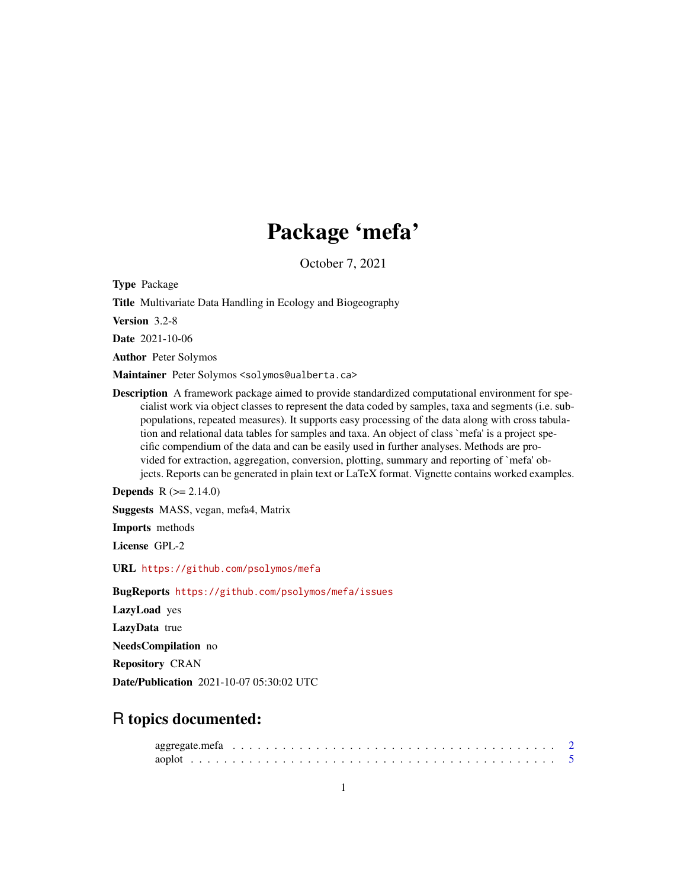# Package 'mefa'

October 7, 2021

<span id="page-0-0"></span>Type Package

Title Multivariate Data Handling in Ecology and Biogeography

Version 3.2-8

Date 2021-10-06

Author Peter Solymos

Maintainer Peter Solymos <solymos@ualberta.ca>

Description A framework package aimed to provide standardized computational environment for specialist work via object classes to represent the data coded by samples, taxa and segments (i.e. subpopulations, repeated measures). It supports easy processing of the data along with cross tabulation and relational data tables for samples and taxa. An object of class `mefa' is a project specific compendium of the data and can be easily used in further analyses. Methods are provided for extraction, aggregation, conversion, plotting, summary and reporting of `mefa' objects. Reports can be generated in plain text or LaTeX format. Vignette contains worked examples.

**Depends** R  $(>= 2.14.0)$ 

Suggests MASS, vegan, mefa4, Matrix

Imports methods

License GPL-2

URL <https://github.com/psolymos/mefa>

BugReports <https://github.com/psolymos/mefa/issues>

LazyLoad yes

LazyData true

NeedsCompilation no

Repository CRAN

Date/Publication 2021-10-07 05:30:02 UTC

## R topics documented: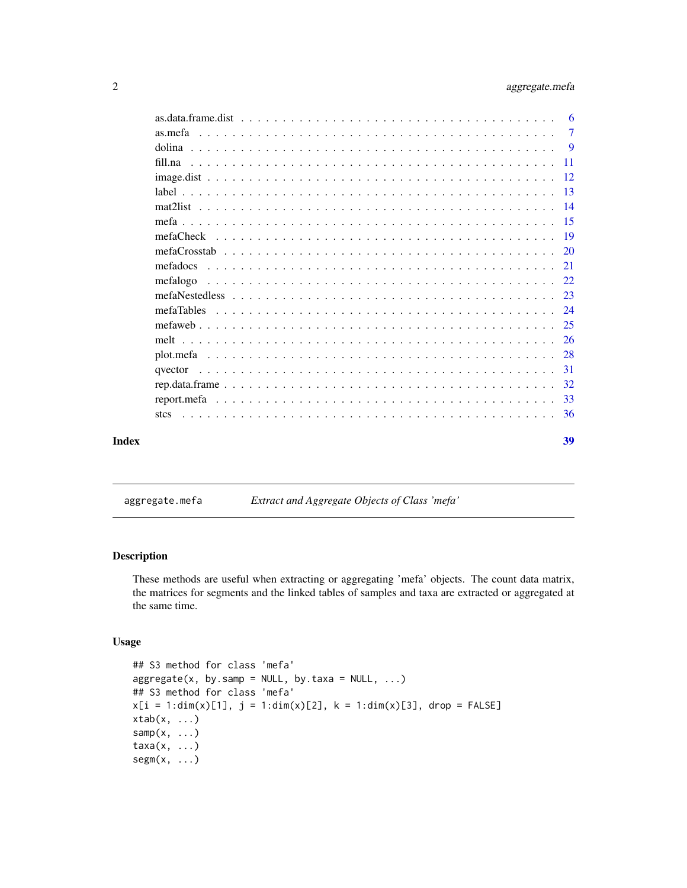<span id="page-1-0"></span>

|       |          | -6             |
|-------|----------|----------------|
|       |          | $\overline{7}$ |
|       |          | - 9            |
|       | fill.na  |                |
|       |          |                |
|       |          |                |
|       |          |                |
|       |          |                |
|       |          |                |
|       |          |                |
|       |          |                |
|       | mefalogo |                |
|       |          |                |
|       |          |                |
|       |          |                |
|       |          |                |
|       |          |                |
|       |          |                |
|       |          |                |
|       |          |                |
|       |          |                |
| Index |          | 39             |
|       |          |                |

<span id="page-1-2"></span>aggregate.mefa *Extract and Aggregate Objects of Class 'mefa'*

## <span id="page-1-1"></span>Description

These methods are useful when extracting or aggregating 'mefa' objects. The count data matrix, the matrices for segments and the linked tables of samples and taxa are extracted or aggregated at the same time.

## Usage

```
## S3 method for class 'mefa'
aggregate(x, by.sum = NULL, by.data = NULL, ...)## S3 method for class 'mefa'
x[i = 1:dim(x)[1], j = 1:dim(x)[2], k = 1:dim(x)[3], drop = FALSE]xtab(x, \ldots)\text{sample}(x, \ldots)taxa(x, ...)
segm(x, \ldots)
```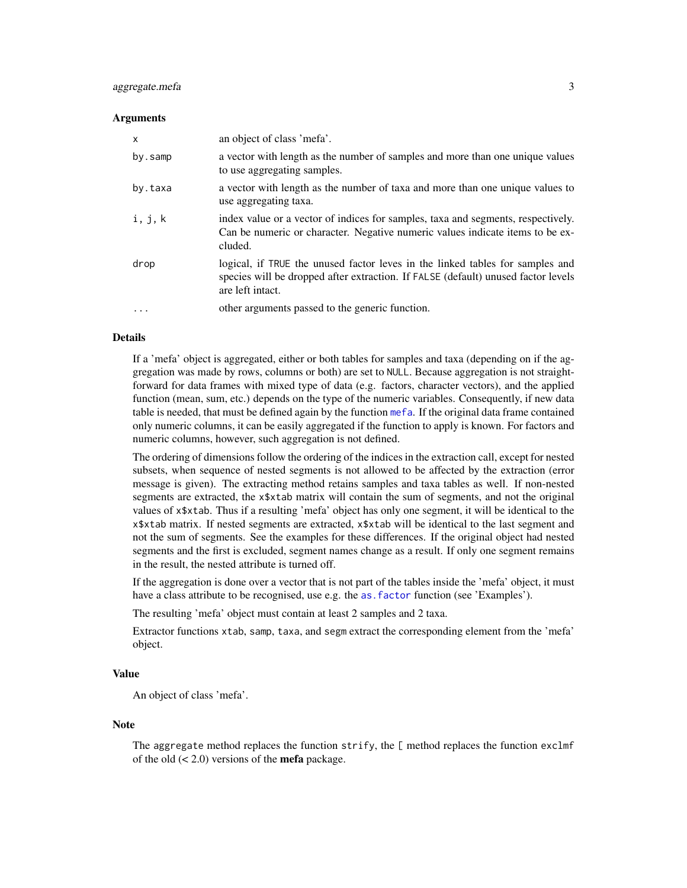## <span id="page-2-0"></span>aggregate.mefa 3

#### **Arguments**

| $\times$ | an object of class 'mefa'.                                                                                                                                                             |
|----------|----------------------------------------------------------------------------------------------------------------------------------------------------------------------------------------|
| by.samp  | a vector with length as the number of samples and more than one unique values<br>to use aggregating samples.                                                                           |
| by.taxa  | a vector with length as the number of taxa and more than one unique values to<br>use aggregating taxa.                                                                                 |
| i, j, k  | index value or a vector of indices for samples, taxa and segments, respectively.<br>Can be numeric or character. Negative numeric values indicate items to be ex-<br>cluded.           |
| drop     | logical, if TRUE the unused factor leves in the linked tables for samples and<br>species will be dropped after extraction. If FALSE (default) unused factor levels<br>are left intact. |
| $\cdots$ | other arguments passed to the generic function.                                                                                                                                        |

#### Details

If a 'mefa' object is aggregated, either or both tables for samples and taxa (depending on if the aggregation was made by rows, columns or both) are set to NULL. Because aggregation is not straightforward for data frames with mixed type of data (e.g. factors, character vectors), and the applied function (mean, sum, etc.) depends on the type of the numeric variables. Consequently, if new data table is needed, that must be defined again by the function [mefa](#page-14-1). If the original data frame contained only numeric columns, it can be easily aggregated if the function to apply is known. For factors and numeric columns, however, such aggregation is not defined.

The ordering of dimensions follow the ordering of the indices in the extraction call, except for nested subsets, when sequence of nested segments is not allowed to be affected by the extraction (error message is given). The extracting method retains samples and taxa tables as well. If non-nested segments are extracted, the x\$xtab matrix will contain the sum of segments, and not the original values of x\$xtab. Thus if a resulting 'mefa' object has only one segment, it will be identical to the x\$xtab matrix. If nested segments are extracted, x\$xtab will be identical to the last segment and not the sum of segments. See the examples for these differences. If the original object had nested segments and the first is excluded, segment names change as a result. If only one segment remains in the result, the nested attribute is turned off.

If the aggregation is done over a vector that is not part of the tables inside the 'mefa' object, it must have a class attribute to be recognised, use e.g. the as. factor function (see 'Examples').

The resulting 'mefa' object must contain at least 2 samples and 2 taxa.

Extractor functions xtab, samp, taxa, and segm extract the corresponding element from the 'mefa' object.

#### Value

An object of class 'mefa'.

#### Note

The aggregate method replaces the function strify, the [ method replaces the function exclmf of the old  $(< 2.0)$  versions of the **mefa** package.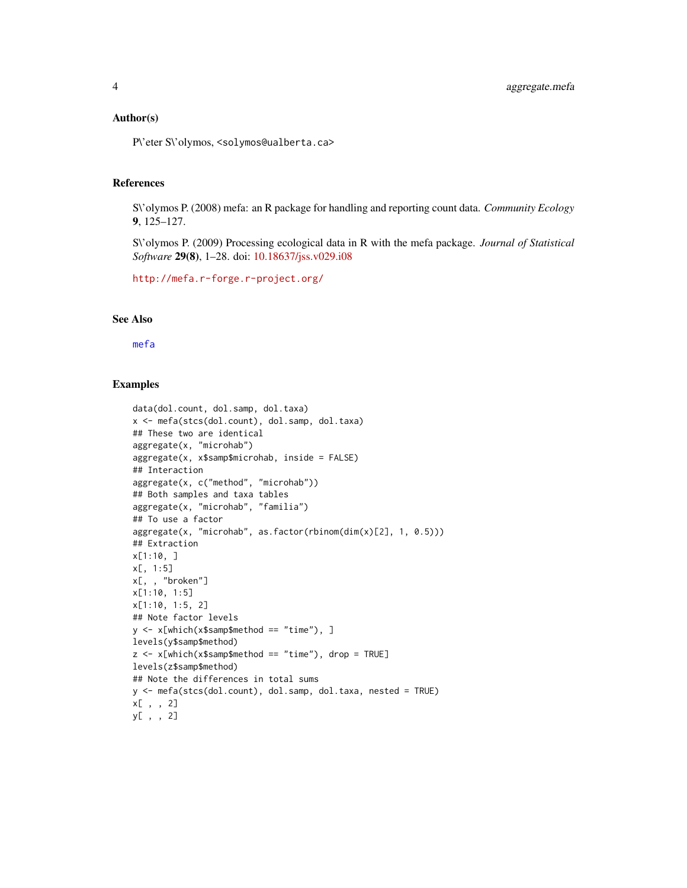#### <span id="page-3-0"></span>Author(s)

P\'eter S\'olymos, <solymos@ualberta.ca>

#### References

S\'olymos P. (2008) mefa: an R package for handling and reporting count data. *Community Ecology* 9, 125–127.

S\'olymos P. (2009) Processing ecological data in R with the mefa package. *Journal of Statistical Software* 29(8), 1–28. doi: [10.18637/jss.v029.i08](https://doi.org/10.18637/jss.v029.i08)

```
http://mefa.r-forge.r-project.org/
```
## See Also

## [mefa](#page-14-1)

```
data(dol.count, dol.samp, dol.taxa)
x <- mefa(stcs(dol.count), dol.samp, dol.taxa)
## These two are identical
aggregate(x, "microhab")
aggregate(x, x$samp$microhab, inside = FALSE)
## Interaction
aggregate(x, c("method", "microhab"))
## Both samples and taxa tables
aggregate(x, "microhab", "familia")
## To use a factor
aggregate(x, "microhab", as.factor(rbinom(dim(x)[2], 1, 0.5)))
## Extraction
x[1:10, ]
x[, 1:5]
x[, , "broken"]
x[1:10, 1:5]
x[1:10, 1:5, 2]
## Note factor levels
y <- x[which(x$samp$method == "time"), ]
levels(y$samp$method)
z \leq x[which(x$samp$method == "time"), drop = TRUE]
levels(z$samp$method)
## Note the differences in total sums
y <- mefa(stcs(dol.count), dol.samp, dol.taxa, nested = TRUE)
x[ , , 2]
y[ , , 2]
```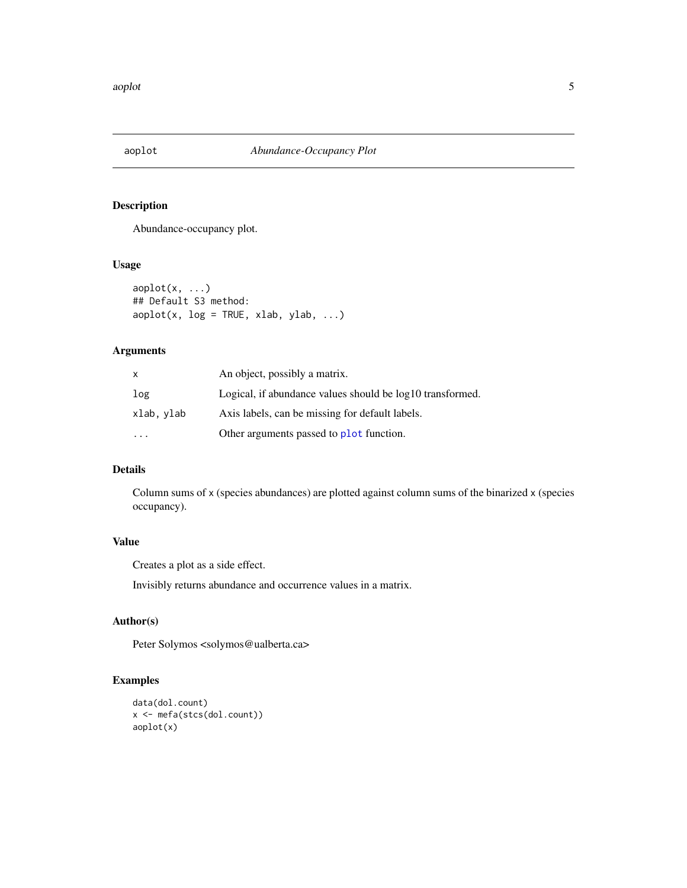<span id="page-4-0"></span>

## Description

Abundance-occupancy plot.

## Usage

```
aoplot(x, ...)## Default S3 method:
aophot(x, log = TRUE, xlab, ylab, ...)
```
## Arguments

| X          | An object, possibly a matrix.                             |
|------------|-----------------------------------------------------------|
| log        | Logical, if abundance values should be log10 transformed. |
| xlab, ylab | Axis labels, can be missing for default labels.           |
|            | Other arguments passed to plot function.                  |

## Details

Column sums of x (species abundances) are plotted against column sums of the binarized x (species occupancy).

## Value

Creates a plot as a side effect.

Invisibly returns abundance and occurrence values in a matrix.

#### Author(s)

Peter Solymos <solymos@ualberta.ca>

```
data(dol.count)
x <- mefa(stcs(dol.count))
aoplot(x)
```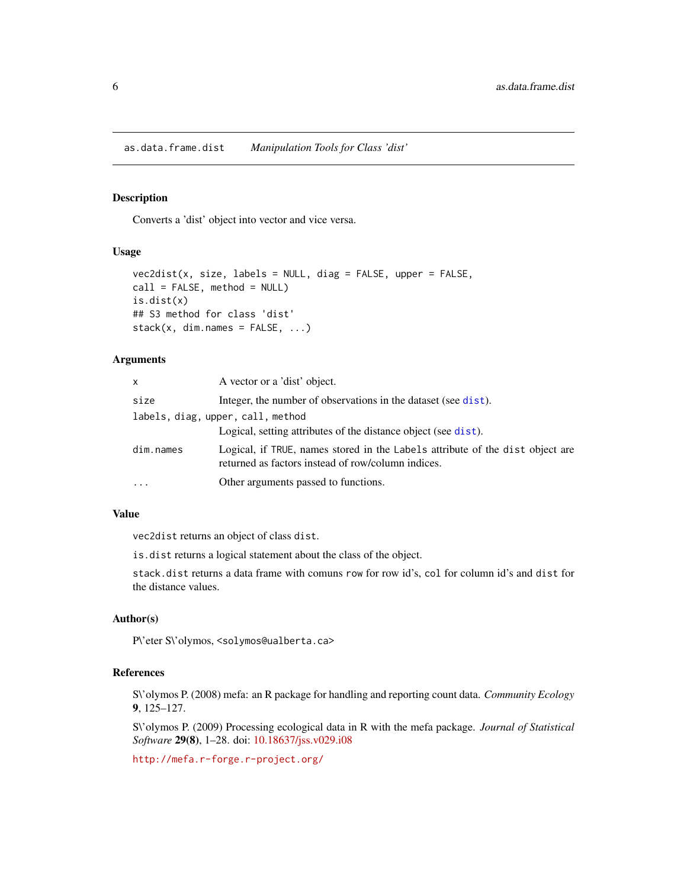<span id="page-5-0"></span>as.data.frame.dist *Manipulation Tools for Class 'dist'*

## Description

Converts a 'dist' object into vector and vice versa.

## Usage

```
vec2dist(x, size, labels = NULL, diag = FALSE, upper = FALSE,
call = FALSE, method = NULL)is.dist(x)
## S3 method for class 'dist'
stack(x, dim.name = FALSE, ...)
```
#### Arguments

| $\mathsf{x}$                      | A vector or a 'dist' object.                                                                                                        |  |  |  |
|-----------------------------------|-------------------------------------------------------------------------------------------------------------------------------------|--|--|--|
| size                              | Integer, the number of observations in the dataset (see dist).                                                                      |  |  |  |
| labels, diag, upper, call, method |                                                                                                                                     |  |  |  |
|                                   | Logical, setting attributes of the distance object (see dist).                                                                      |  |  |  |
| dim.names                         | Logical, if TRUE, names stored in the Labels attribute of the dist object are<br>returned as factors instead of row/column indices. |  |  |  |
| $\cdots$                          | Other arguments passed to functions.                                                                                                |  |  |  |

#### Value

vec2dist returns an object of class dist.

is.dist returns a logical statement about the class of the object.

stack.dist returns a data frame with comuns row for row id's, col for column id's and dist for the distance values.

#### Author(s)

P\'eter S\'olymos, <solymos@ualberta.ca>

## References

S\'olymos P. (2008) mefa: an R package for handling and reporting count data. *Community Ecology* 9, 125–127.

S\'olymos P. (2009) Processing ecological data in R with the mefa package. *Journal of Statistical Software* 29(8), 1–28. doi: [10.18637/jss.v029.i08](https://doi.org/10.18637/jss.v029.i08)

<http://mefa.r-forge.r-project.org/>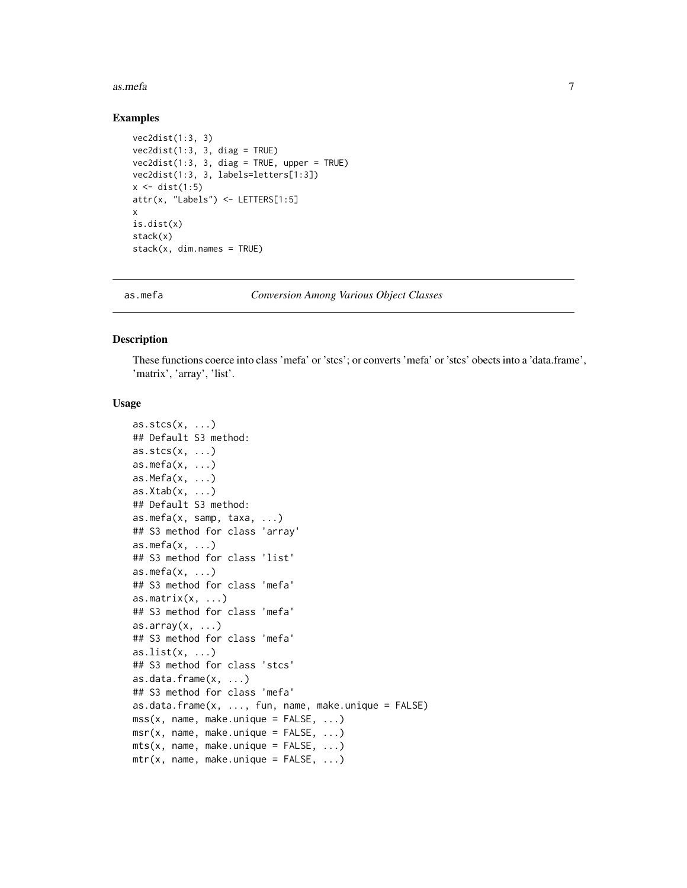#### <span id="page-6-0"></span>as.mefa 7

#### Examples

```
vec2dist(1:3, 3)
vec2dist(1:3, 3, diag = TRUE)vec2dist(1:3, 3, diag = TRUE, upper = TRUE)vec2dist(1:3, 3, labels=letters[1:3])
x \leftarrow dist(1:5)attr(x, "Labels") <- LETTERS[1:5]
x
is.dist(x)
stack(x)
stack(x, dim.name = TRUE)
```
<span id="page-6-1"></span>

as.mefa *Conversion Among Various Object Classes*

## <span id="page-6-2"></span>Description

These functions coerce into class 'mefa' or 'stcs'; or converts 'mefa' or 'stcs' obects into a 'data.frame', 'matrix', 'array', 'list'.

#### Usage

```
as.stcs(x, \ldots)## Default S3 method:
\text{as.stcs}(x, \ldots)as.mefa(x, \ldots)as.Mefa(x, \ldots)as.Xtab(x, ...)## Default S3 method:
as.mefa(x, samp, taxa, ...)
## S3 method for class 'array'
as.mefa(x, ...)## S3 method for class 'list'
as.mefa(x, ...)## S3 method for class 'mefa'
as.matrix(x, \ldots)## S3 method for class 'mefa'
as.array(x, \ldots)## S3 method for class 'mefa'
as.list(x, ...)## S3 method for class 'stcs'
as.data.frame(x, ...)
## S3 method for class 'mefa'
as.data.fname(x, ..., fun, name, make.unique = FALSE)\text{mss}(x, \text{ name}, \text{make.unique} = \text{FALSE}, \dots)msr(x, name, make.unique = FALSE, ...)mts(x, name, make.unique = FALSE, ...)mtr(x, name, make. unique = FALSE, ...)
```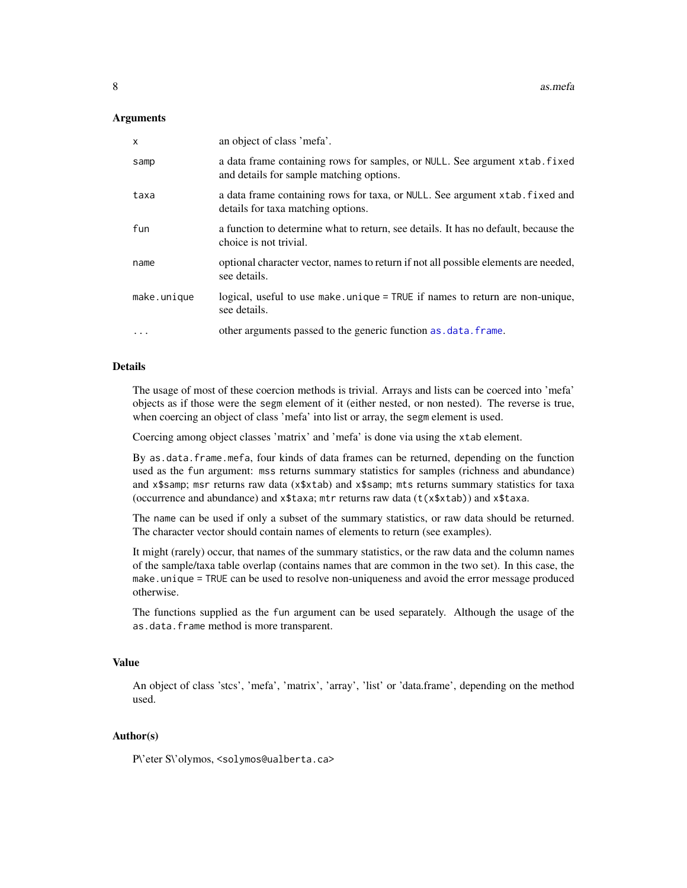#### <span id="page-7-0"></span>**Arguments**

| $\times$    | an object of class 'mefa'.                                                                                              |
|-------------|-------------------------------------------------------------------------------------------------------------------------|
| samp        | a data frame containing rows for samples, or NULL. See argument xtab. fixed<br>and details for sample matching options. |
| taxa        | a data frame containing rows for taxa, or NULL. See argument xtab. fixed and<br>details for taxa matching options.      |
| fun         | a function to determine what to return, see details. It has no default, because the<br>choice is not trivial.           |
| name        | optional character vector, names to return if not all possible elements are needed,<br>see details.                     |
| make.unique | logical, useful to use make unique = TRUE if names to return are non-unique,<br>see details.                            |
| $\cdots$    | other arguments passed to the generic function as data. frame.                                                          |

#### Details

The usage of most of these coercion methods is trivial. Arrays and lists can be coerced into 'mefa' objects as if those were the segm element of it (either nested, or non nested). The reverse is true, when coercing an object of class 'mefa' into list or array, the segm element is used.

Coercing among object classes 'matrix' and 'mefa' is done via using the xtab element.

By as.data.frame.mefa, four kinds of data frames can be returned, depending on the function used as the fun argument: mss returns summary statistics for samples (richness and abundance) and x\$samp; msr returns raw data (x\$xtab) and x\$samp; mts returns summary statistics for taxa (occurrence and abundance) and  $x$ \$taxa; mtr returns raw data (t( $x$ \$xtab)) and  $x$ \$taxa.

The name can be used if only a subset of the summary statistics, or raw data should be returned. The character vector should contain names of elements to return (see examples).

It might (rarely) occur, that names of the summary statistics, or the raw data and the column names of the sample/taxa table overlap (contains names that are common in the two set). In this case, the make.unique = TRUE can be used to resolve non-uniqueness and avoid the error message produced otherwise.

The functions supplied as the fun argument can be used separately. Although the usage of the as.data.frame method is more transparent.

#### Value

An object of class 'stcs', 'mefa', 'matrix', 'array', 'list' or 'data.frame', depending on the method used.

## Author(s)

P\'eter S\'olymos, <solymos@ualberta.ca>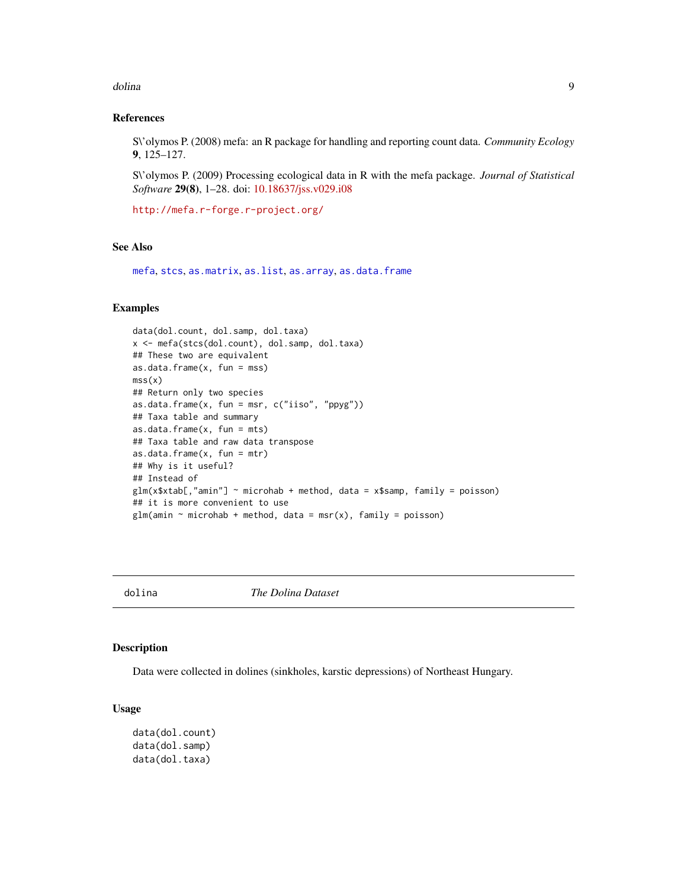#### <span id="page-8-0"></span>dolina 9

## References

S\'olymos P. (2008) mefa: an R package for handling and reporting count data. *Community Ecology* 9, 125–127.

S\'olymos P. (2009) Processing ecological data in R with the mefa package. *Journal of Statistical Software* 29(8), 1–28. doi: [10.18637/jss.v029.i08](https://doi.org/10.18637/jss.v029.i08)

<http://mefa.r-forge.r-project.org/>

## See Also

[mefa](#page-14-1), [stcs](#page-35-1), [as.matrix](#page-0-0), [as.list](#page-0-0), [as.array](#page-0-0), [as.data.frame](#page-0-0)

## Examples

```
data(dol.count, dol.samp, dol.taxa)
x <- mefa(stcs(dol.count), dol.samp, dol.taxa)
## These two are equivalent
as.data.frame(x, fun = mss)
mss(x)## Return only two species
as.data.frame(x, fun = msr, c("iiso", "ppyg"))## Taxa table and summary
as.data.frame(x, fun = mts)## Taxa table and raw data transpose
as.data.frame(x, fun = mtr)## Why is it useful?
## Instead of
glm(x$xtab[,"amin"] ~ microhab + method, data = x$samp, family = poisson)
## it is more convenient to use
glm(amin \sim microhab + method, data = msr(x), family = poisson)
```
dolina *The Dolina Dataset*

## Description

Data were collected in dolines (sinkholes, karstic depressions) of Northeast Hungary.

## Usage

```
data(dol.count)
data(dol.samp)
data(dol.taxa)
```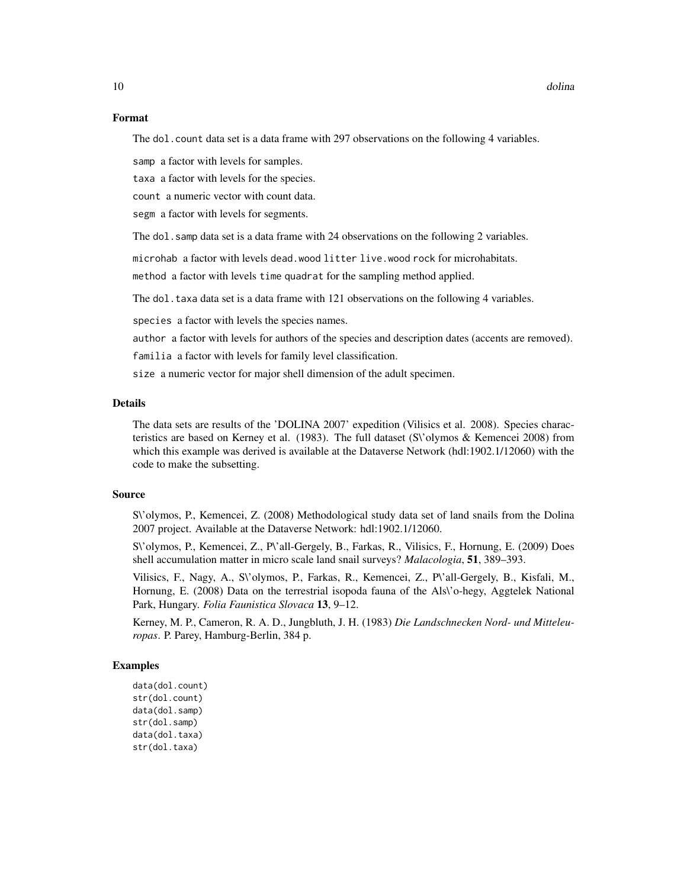#### Format

The dol.count data set is a data frame with 297 observations on the following 4 variables.

samp a factor with levels for samples.

taxa a factor with levels for the species.

count a numeric vector with count data.

segm a factor with levels for segments.

The dol. samp data set is a data frame with 24 observations on the following 2 variables.

microhab a factor with levels dead.wood litter live.wood rock for microhabitats.

method a factor with levels time quadrat for the sampling method applied.

The dol.taxa data set is a data frame with 121 observations on the following 4 variables.

species a factor with levels the species names.

author a factor with levels for authors of the species and description dates (accents are removed).

familia a factor with levels for family level classification.

size a numeric vector for major shell dimension of the adult specimen.

#### Details

The data sets are results of the 'DOLINA 2007' expedition (Vilisics et al. 2008). Species characteristics are based on Kerney et al. (1983). The full dataset (S\'olymos & Kemencei 2008) from which this example was derived is available at the Dataverse Network (hdl:1902.1/12060) with the code to make the subsetting.

#### Source

S\'olymos, P., Kemencei, Z. (2008) Methodological study data set of land snails from the Dolina 2007 project. Available at the Dataverse Network: hdl:1902.1/12060.

S\'olymos, P., Kemencei, Z., P\'all-Gergely, B., Farkas, R., Vilisics, F., Hornung, E. (2009) Does shell accumulation matter in micro scale land snail surveys? *Malacologia*, 51, 389–393.

Vilisics, F., Nagy, A., S\'olymos, P., Farkas, R., Kemencei, Z., P\'all-Gergely, B., Kisfali, M., Hornung, E. (2008) Data on the terrestrial isopoda fauna of the Als\'o-hegy, Aggtelek National Park, Hungary. *Folia Faunistica Slovaca* 13, 9–12.

Kerney, M. P., Cameron, R. A. D., Jungbluth, J. H. (1983) *Die Landschnecken Nord- und Mitteleuropas*. P. Parey, Hamburg-Berlin, 384 p.

```
data(dol.count)
str(dol.count)
data(dol.samp)
str(dol.samp)
data(dol.taxa)
str(dol.taxa)
```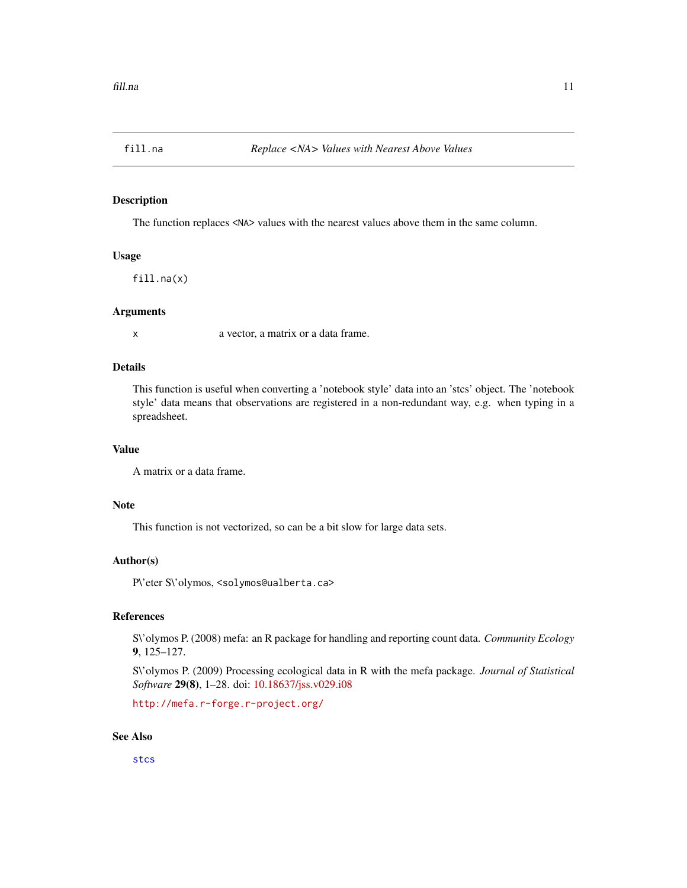<span id="page-10-0"></span>

## Description

The function replaces <NA> values with the nearest values above them in the same column.

## Usage

fill.na(x)

## Arguments

x a vector, a matrix or a data frame.

#### Details

This function is useful when converting a 'notebook style' data into an 'stcs' object. The 'notebook style' data means that observations are registered in a non-redundant way, e.g. when typing in a spreadsheet.

## Value

```
A matrix or a data frame.
```
## Note

This function is not vectorized, so can be a bit slow for large data sets.

## Author(s)

P\'eter S\'olymos, <solymos@ualberta.ca>

## References

S\'olymos P. (2008) mefa: an R package for handling and reporting count data. *Community Ecology* 9, 125–127.

S\'olymos P. (2009) Processing ecological data in R with the mefa package. *Journal of Statistical Software* 29(8), 1–28. doi: [10.18637/jss.v029.i08](https://doi.org/10.18637/jss.v029.i08)

<http://mefa.r-forge.r-project.org/>

## See Also

[stcs](#page-35-1)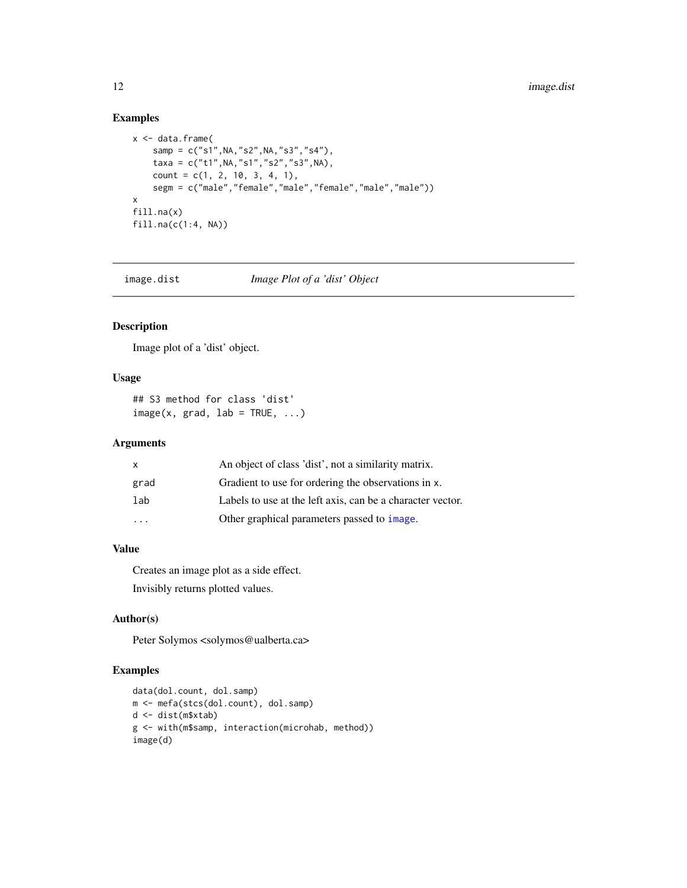## Examples

```
x < - data.frame(
   samp = c("s1",NA,"s2",NA,"s3","s4"),
   taxa = c("t1",NA,"s1","s2","s3",NA),
   count = c(1, 2, 10, 3, 4, 1),segm = c("male","female","male","female","male","male"))
x
fill.na(x)
fill.na(c(1:4, NA))
```
image.dist *Image Plot of a 'dist' Object*

## Description

Image plot of a 'dist' object.

## Usage

```
## S3 method for class 'dist'
image(x, grad, lab = TRUE, ...)
```
## Arguments

| x                       | An object of class 'dist', not a similarity matrix.        |
|-------------------------|------------------------------------------------------------|
| grad                    | Gradient to use for ordering the observations in x.        |
| lab                     | Labels to use at the left axis, can be a character vector. |
| $\cdot$ $\cdot$ $\cdot$ | Other graphical parameters passed to <i>image</i> .        |

## Value

Creates an image plot as a side effect. Invisibly returns plotted values.

#### Author(s)

Peter Solymos <solymos@ualberta.ca>

```
data(dol.count, dol.samp)
m <- mefa(stcs(dol.count), dol.samp)
d <- dist(m$xtab)
g <- with(m$samp, interaction(microhab, method))
image(d)
```
<span id="page-11-0"></span>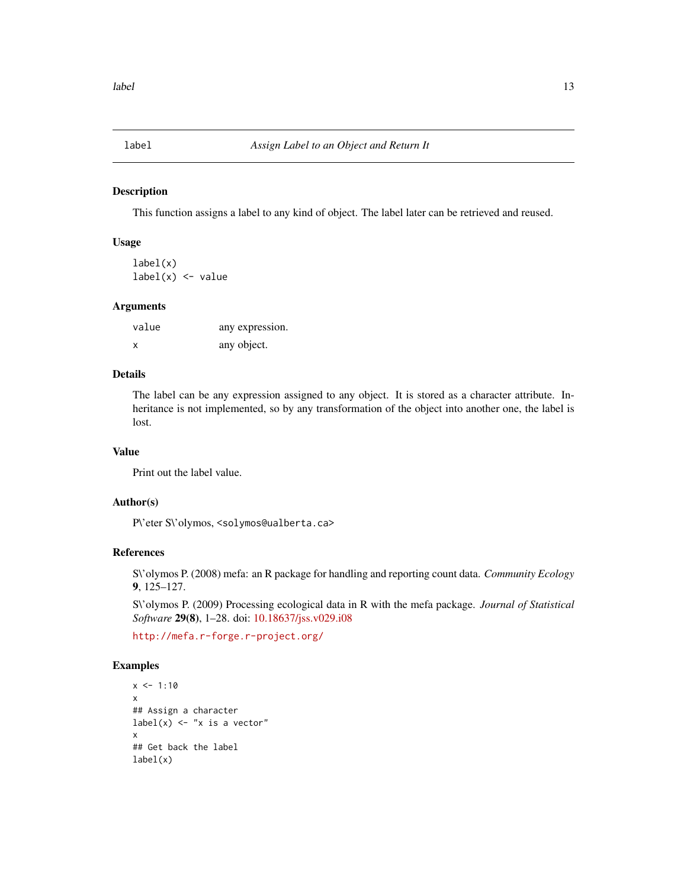<span id="page-12-0"></span>

## Description

This function assigns a label to any kind of object. The label later can be retrieved and reused.

#### Usage

label(x)  $label(x) < -$  value

#### Arguments

| value | any expression. |
|-------|-----------------|
| x     | any object.     |

## Details

The label can be any expression assigned to any object. It is stored as a character attribute. Inheritance is not implemented, so by any transformation of the object into another one, the label is lost.

## Value

Print out the label value.

## Author(s)

P\'eter S\'olymos, <solymos@ualberta.ca>

## References

S\'olymos P. (2008) mefa: an R package for handling and reporting count data. *Community Ecology* 9, 125–127.

S\'olymos P. (2009) Processing ecological data in R with the mefa package. *Journal of Statistical Software* 29(8), 1–28. doi: [10.18637/jss.v029.i08](https://doi.org/10.18637/jss.v029.i08)

<http://mefa.r-forge.r-project.org/>

```
x < -1:10x
## Assign a character
label(x) \leftarrow "x is a vector"x
## Get back the label
label(x)
```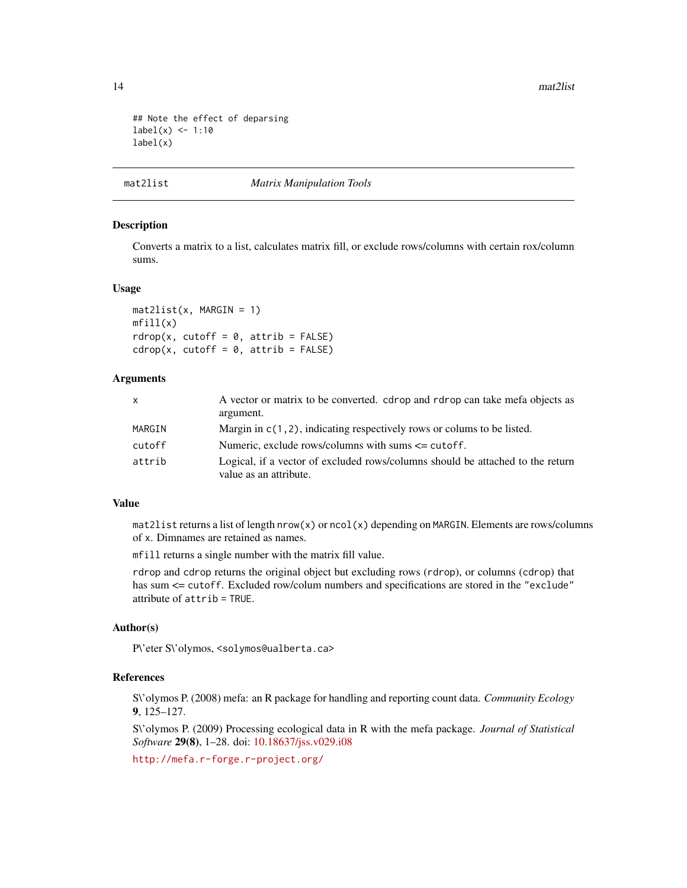14 mat2list

```
## Note the effect of deparsing
label(x) < -1:10label(x)
```
## mat2list *Matrix Manipulation Tools*

## Description

Converts a matrix to a list, calculates matrix fill, or exclude rows/columns with certain rox/column sums.

#### Usage

```
mat2list(x, MARGIN = 1)mfill(x)rdrop(x, cutoff = 0, attrib = FALSE)cdrop(x, cutoff = 0, attrib = FALSE)
```
## Arguments

| $\mathsf{x}$ | A vector or matrix to be converted, cdrop and rdrop can take mefa objects as                             |
|--------------|----------------------------------------------------------------------------------------------------------|
|              | argument.                                                                                                |
| MARGIN       | Margin in $c(1, 2)$ , indicating respectively rows or colums to be listed.                               |
| cutoff       | Numeric, exclude rows/columns with sums $\leq$ cutoff.                                                   |
| attrib       | Logical, if a vector of excluded rows/columns should be attached to the return<br>value as an attribute. |

## Value

mat2list returns a list of length nrow(x) or ncol(x) depending on MARGIN. Elements are rows/columns of x. Dimnames are retained as names.

mfill returns a single number with the matrix fill value.

rdrop and cdrop returns the original object but excluding rows (rdrop), or columns (cdrop) that has sum <= cutoff. Excluded row/colum numbers and specifications are stored in the "exclude" attribute of attrib = TRUE.

## Author(s)

P\'eter S\'olymos, <solymos@ualberta.ca>

#### References

S\'olymos P. (2008) mefa: an R package for handling and reporting count data. *Community Ecology* 9, 125–127.

S\'olymos P. (2009) Processing ecological data in R with the mefa package. *Journal of Statistical Software* 29(8), 1–28. doi: [10.18637/jss.v029.i08](https://doi.org/10.18637/jss.v029.i08)

<http://mefa.r-forge.r-project.org/>

<span id="page-13-0"></span>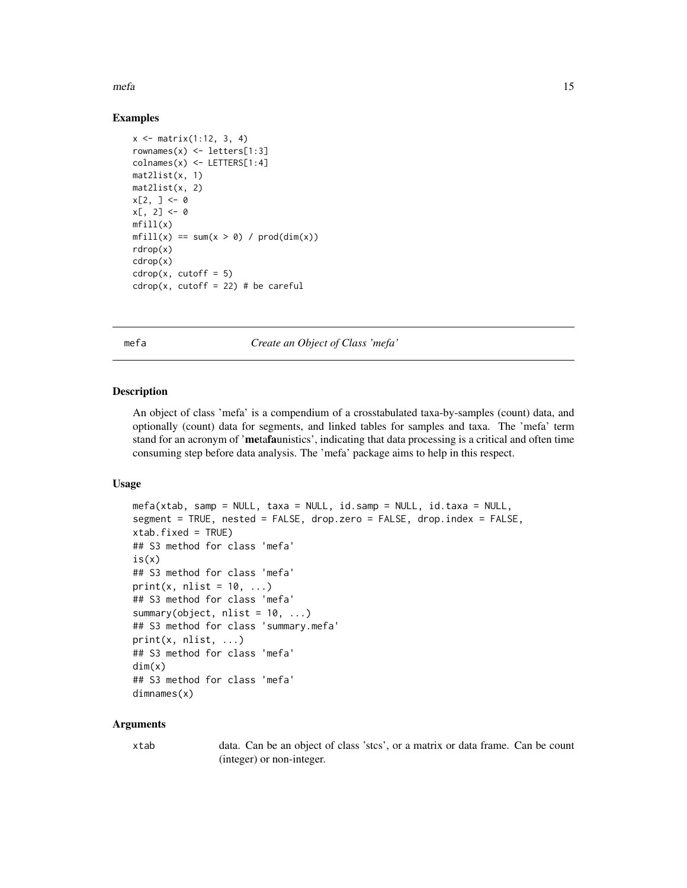<span id="page-14-0"></span> $m$ efa  $15$ 

## Examples

```
x <- matrix(1:12, 3, 4)
rownames(x) \le letters[1:3]
\text{colnames}(x) \leq L \text{ETTERS}[1:4]mat2list(x, 1)
mat2list(x, 2)
x[2, ] < - \emptysetx[, 2] <- 0
mfill(x)mfill(x) == sum(x > 0) / prod(dim(x))rdrop(x)
cdrop(x)
cdrop(x, cutoff = 5)cdrop(x, cutoff = 22) # be careful
```
<span id="page-14-1"></span>mefa *Create an Object of Class 'mefa'*

#### <span id="page-14-2"></span>Description

An object of class 'mefa' is a compendium of a crosstabulated taxa-by-samples (count) data, and optionally (count) data for segments, and linked tables for samples and taxa. The 'mefa' term stand for an acronym of 'metafaunistics', indicating that data processing is a critical and often time consuming step before data analysis. The 'mefa' package aims to help in this respect.

## Usage

```
mefa(xtab, samp = NULL, taxa = NULL, id.samp = NULL, id.taxa = NULL,segment = TRUE, nested = FALSE, drop.zero = FALSE, drop.index = FALSE,
xtab.fixed = TRUE)
## S3 method for class 'mefa'
is(x)## S3 method for class 'mefa'
print(x, nlist = 10, ...)
## S3 method for class 'mefa'
summary(object, nlist = 10, ...)
## S3 method for class 'summary.mefa'
print(x, nlist, ...)
## S3 method for class 'mefa'
dim(x)
## S3 method for class 'mefa'
dimnames(x)
```
#### Arguments

xtab data. Can be an object of class 'stcs', or a matrix or data frame. Can be count (integer) or non-integer.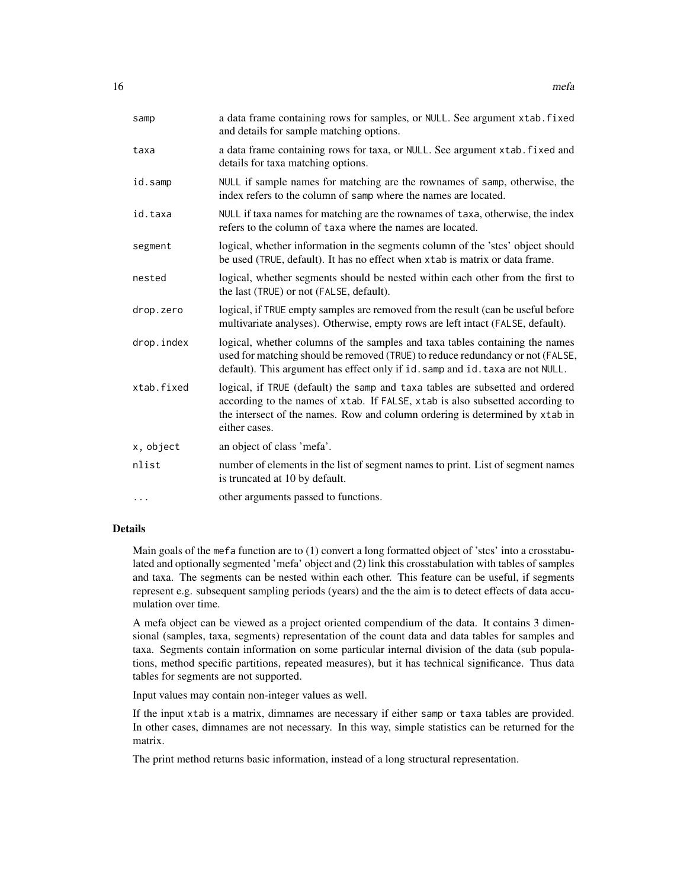| samp       | a data frame containing rows for samples, or NULL. See argument xtab. fixed<br>and details for sample matching options.                                                                                                                                         |
|------------|-----------------------------------------------------------------------------------------------------------------------------------------------------------------------------------------------------------------------------------------------------------------|
| taxa       | a data frame containing rows for taxa, or NULL. See argument xtab. fixed and<br>details for taxa matching options.                                                                                                                                              |
| id.samp    | NULL if sample names for matching are the rownames of samp, otherwise, the<br>index refers to the column of samp where the names are located.                                                                                                                   |
| id.taxa    | NULL if taxa names for matching are the rownames of taxa, otherwise, the index<br>refers to the column of taxa where the names are located.                                                                                                                     |
| segment    | logical, whether information in the segments column of the 'stcs' object should<br>be used (TRUE, default). It has no effect when xtab is matrix or data frame.                                                                                                 |
| nested     | logical, whether segments should be nested within each other from the first to<br>the last (TRUE) or not (FALSE, default).                                                                                                                                      |
| drop.zero  | logical, if TRUE empty samples are removed from the result (can be useful before<br>multivariate analyses). Otherwise, empty rows are left intact (FALSE, default).                                                                                             |
| drop.index | logical, whether columns of the samples and taxa tables containing the names<br>used for matching should be removed (TRUE) to reduce redundancy or not (FALSE,<br>default). This argument has effect only if id. samp and id. taxa are not NULL.                |
| xtab.fixed | logical, if TRUE (default) the samp and taxa tables are subsetted and ordered<br>according to the names of xtab. If FALSE, xtab is also subsetted according to<br>the intersect of the names. Row and column ordering is determined by xtab in<br>either cases. |
| x, object  | an object of class 'mefa'.                                                                                                                                                                                                                                      |
| nlist      | number of elements in the list of segment names to print. List of segment names<br>is truncated at 10 by default.                                                                                                                                               |
| $\cdots$   | other arguments passed to functions.                                                                                                                                                                                                                            |

## Details

Main goals of the mefa function are to (1) convert a long formatted object of 'stcs' into a crosstabulated and optionally segmented 'mefa' object and (2) link this crosstabulation with tables of samples and taxa. The segments can be nested within each other. This feature can be useful, if segments represent e.g. subsequent sampling periods (years) and the the aim is to detect effects of data accumulation over time.

A mefa object can be viewed as a project oriented compendium of the data. It contains 3 dimensional (samples, taxa, segments) representation of the count data and data tables for samples and taxa. Segments contain information on some particular internal division of the data (sub populations, method specific partitions, repeated measures), but it has technical significance. Thus data tables for segments are not supported.

Input values may contain non-integer values as well.

If the input xtab is a matrix, dimnames are necessary if either samp or taxa tables are provided. In other cases, dimnames are not necessary. In this way, simple statistics can be returned for the matrix.

The print method returns basic information, instead of a long structural representation.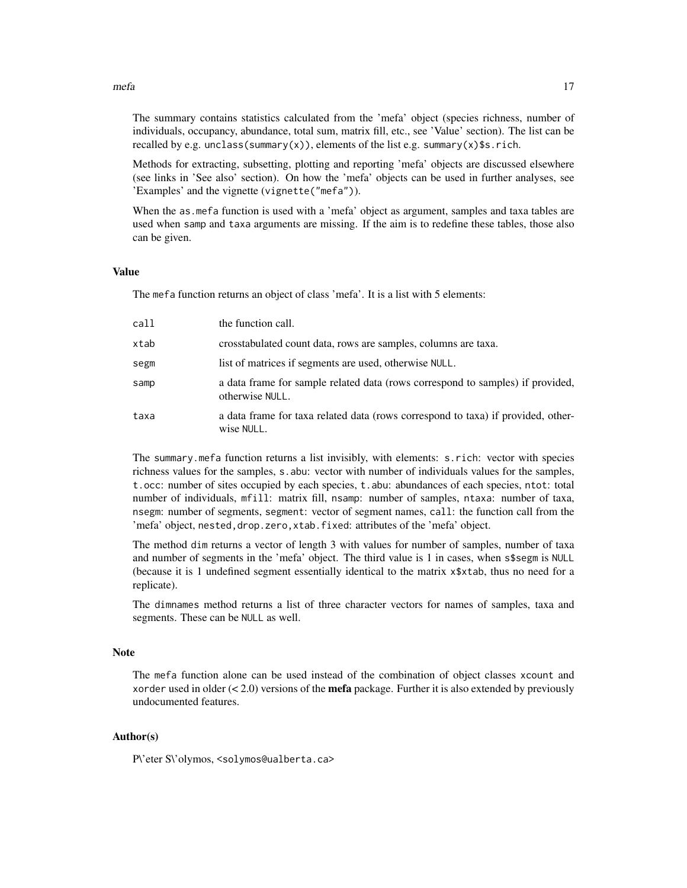#### $m$ efa  $17$

The summary contains statistics calculated from the 'mefa' object (species richness, number of individuals, occupancy, abundance, total sum, matrix fill, etc., see 'Value' section). The list can be recalled by e.g. unclass(summary(x)), elements of the list e.g. summary(x)\$s.rich.

Methods for extracting, subsetting, plotting and reporting 'mefa' objects are discussed elsewhere (see links in 'See also' section). On how the 'mefa' objects can be used in further analyses, see 'Examples' and the vignette (vignette("mefa")).

When the as.mefa function is used with a 'mefa' object as argument, samples and taxa tables are used when samp and taxa arguments are missing. If the aim is to redefine these tables, those also can be given.

#### Value

The mefa function returns an object of class 'mefa'. It is a list with 5 elements:

| call | the function call.                                                                                |
|------|---------------------------------------------------------------------------------------------------|
| xtab | crosstabulated count data, rows are samples, columns are taxa.                                    |
| segm | list of matrices if segments are used, otherwise NULL.                                            |
| samp | a data frame for sample related data (rows correspond to samples) if provided,<br>otherwise NULL. |
| taxa | a data frame for taxa related data (rows correspond to taxa) if provided, other-<br>wise NULL.    |

The summary.mefa function returns a list invisibly, with elements: s.rich: vector with species richness values for the samples, s.abu: vector with number of individuals values for the samples, t.occ: number of sites occupied by each species, t.abu: abundances of each species, ntot: total number of individuals, mfill: matrix fill, nsamp: number of samples, ntaxa: number of taxa, nsegm: number of segments, segment: vector of segment names, call: the function call from the 'mefa' object, nested,drop.zero,xtab.fixed: attributes of the 'mefa' object.

The method dim returns a vector of length 3 with values for number of samples, number of taxa and number of segments in the 'mefa' object. The third value is 1 in cases, when s\$segm is NULL (because it is 1 undefined segment essentially identical to the matrix x\$xtab, thus no need for a replicate).

The dimnames method returns a list of three character vectors for names of samples, taxa and segments. These can be NULL as well.

#### **Note**

The mefa function alone can be used instead of the combination of object classes xcount and xorder used in older  $\ll$  2.0) versions of the **mefa** package. Further it is also extended by previously undocumented features.

#### Author(s)

P\'eter S\'olymos, <solymos@ualberta.ca>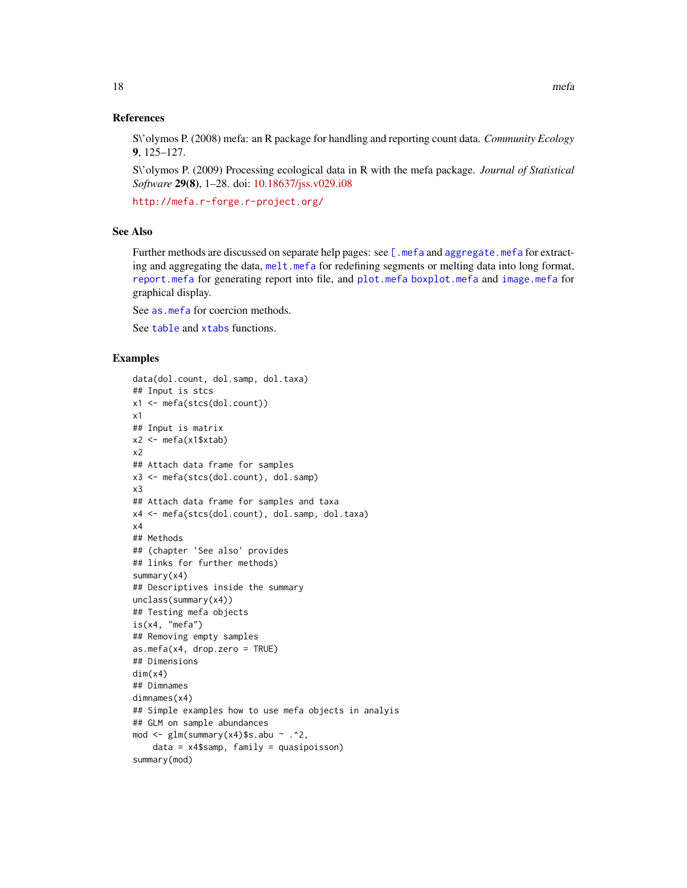<span id="page-17-0"></span>S\'olymos P. (2008) mefa: an R package for handling and reporting count data. *Community Ecology* 9, 125–127.

S\'olymos P. (2009) Processing ecological data in R with the mefa package. *Journal of Statistical Software* 29(8), 1–28. doi: [10.18637/jss.v029.i08](https://doi.org/10.18637/jss.v029.i08)

<http://mefa.r-forge.r-project.org/>

#### See Also

Further methods are discussed on separate help pages: see [\[.mefa](#page-1-1) and [aggregate.mefa](#page-1-2) for extracting and aggregating the data, [melt.mefa](#page-25-1) for redefining segments or melting data into long format, [report.mefa](#page-32-1) for generating report into file, and [plot.mefa](#page-27-1) [boxplot.mefa](#page-27-2) and [image.mefa](#page-27-2) for graphical display.

See as. mefa for coercion methods.

See [table](#page-0-0) and [xtabs](#page-0-0) functions.

```
data(dol.count, dol.samp, dol.taxa)
## Input is stcs
x1 <- mefa(stcs(dol.count))
x1
## Input is matrix
x2 \leq - mefa(x1$xtab)
x2
## Attach data frame for samples
x3 <- mefa(stcs(dol.count), dol.samp)
x3
## Attach data frame for samples and taxa
x4 <- mefa(stcs(dol.count), dol.samp, dol.taxa)
x4
## Methods
## (chapter 'See also' provides
## links for further methods)
summary(x4)
## Descriptives inside the summary
unclass(summary(x4))
## Testing mefa objects
is(x4, 'mefa")## Removing empty samples
as.mefa(x4, drop.zero = TRUE)## Dimensions
dim(x4)
## Dimnames
dimnames(x4)
## Simple examples how to use mefa objects in analyis
## GLM on sample abundances
mod \leq glm(summary(x4)$s.abu \sim .^2,
    data = x4$samp, family = quasipoisson)
summary(mod)
```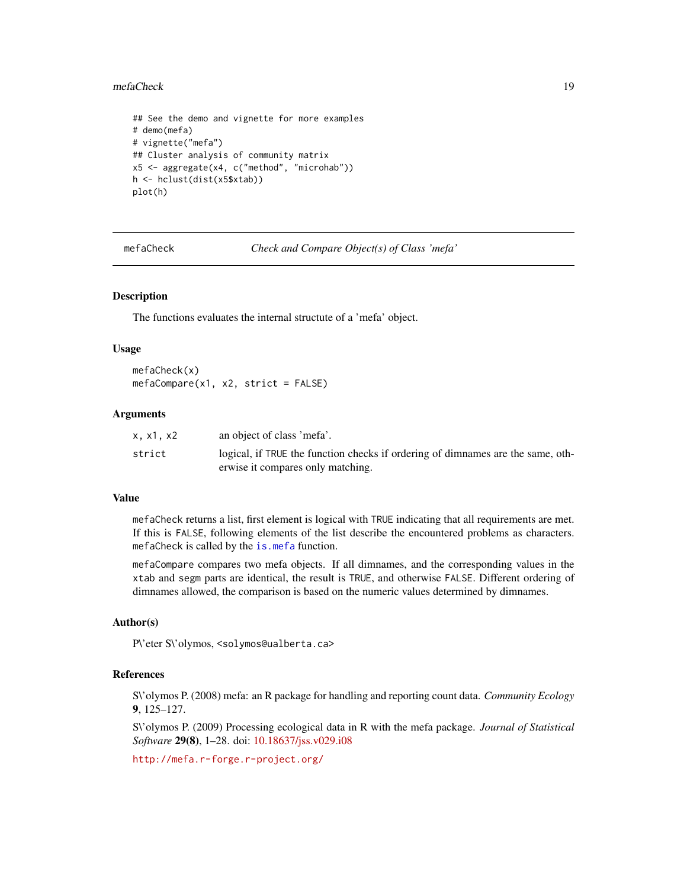#### <span id="page-18-0"></span>mefaCheck 19

```
## See the demo and vignette for more examples
# demo(mefa)
# vignette("mefa")
## Cluster analysis of community matrix
x5 <- aggregate(x4, c("method", "microhab"))
h <- hclust(dist(x5$xtab))
plot(h)
```
mefaCheck *Check and Compare Object(s) of Class 'mefa'*

## Description

The functions evaluates the internal structute of a 'mefa' object.

#### Usage

mefaCheck(x) mefaCompare(x1, x2, strict = FALSE)

#### Arguments

| x.x1.x2 | an object of class 'mefa'.                                                      |
|---------|---------------------------------------------------------------------------------|
| strict  | logical, if TRUE the function checks if ordering of dimnames are the same, oth- |
|         | erwise it compares only matching.                                               |

## Value

mefaCheck returns a list, first element is logical with TRUE indicating that all requirements are met. If this is FALSE, following elements of the list describe the encountered problems as characters. mefaCheck is called by the [is.mefa](#page-14-2) function.

mefaCompare compares two mefa objects. If all dimnames, and the corresponding values in the xtab and segm parts are identical, the result is TRUE, and otherwise FALSE. Different ordering of dimnames allowed, the comparison is based on the numeric values determined by dimnames.

## Author(s)

P\'eter S\'olymos, <solymos@ualberta.ca>

#### References

S\'olymos P. (2008) mefa: an R package for handling and reporting count data. *Community Ecology* 9, 125–127.

S\'olymos P. (2009) Processing ecological data in R with the mefa package. *Journal of Statistical Software* 29(8), 1–28. doi: [10.18637/jss.v029.i08](https://doi.org/10.18637/jss.v029.i08)

<http://mefa.r-forge.r-project.org/>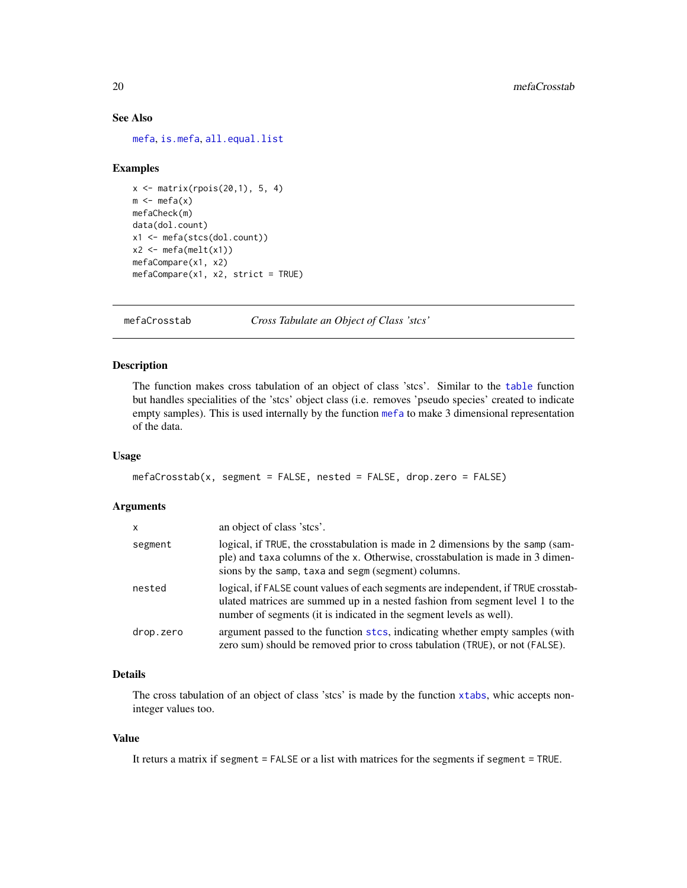## See Also

[mefa](#page-14-1), [is.mefa](#page-14-2), [all.equal.list](#page-0-0)

#### Examples

```
x <- matrix(rpois(20,1), 5, 4)
m \leftarrow mefa(x)mefaCheck(m)
data(dol.count)
x1 <- mefa(stcs(dol.count))
x2 \leftarrow \text{mefa}(\text{melt}(x1))mefaCompare(x1, x2)
mefaCompare(x1, x2, strict = TRUE)
```
<span id="page-19-1"></span>mefaCrosstab *Cross Tabulate an Object of Class 'stcs'*

## Description

The function makes cross tabulation of an object of class 'stcs'. Similar to the [table](#page-0-0) function but handles specialities of the 'stcs' object class (i.e. removes 'pseudo species' created to indicate empty samples). This is used internally by the function [mefa](#page-14-1) to make 3 dimensional representation of the data.

## Usage

```
mefaCrosstab(x, segment = FALSE, nested = FALSE, drop.zero = FALSE)
```
## Arguments

| X         | an object of class 'stcs'.                                                                                                                                                                                                                 |
|-----------|--------------------------------------------------------------------------------------------------------------------------------------------------------------------------------------------------------------------------------------------|
| segment   | logical, if TRUE, the crosstabulation is made in 2 dimensions by the samp (sam-<br>ple) and taxa columns of the x. Otherwise, crosstabulation is made in 3 dimen-<br>sions by the samp, taxa and segm (segment) columns.                   |
| nested    | logical, if FALSE count values of each segments are independent, if TRUE crosstab-<br>ulated matrices are summed up in a nested fashion from segment level 1 to the<br>number of segments (it is indicated in the segment levels as well). |
| drop.zero | argument passed to the function stcs, indicating whether empty samples (with<br>zero sum) should be removed prior to cross tabulation (TRUE), or not (FALSE).                                                                              |

## Details

The cross tabulation of an object of class 'stcs' is made by the function [xtabs](#page-0-0), whic accepts noninteger values too.

## Value

It returs a matrix if segment = FALSE or a list with matrices for the segments if segment = TRUE.

<span id="page-19-0"></span>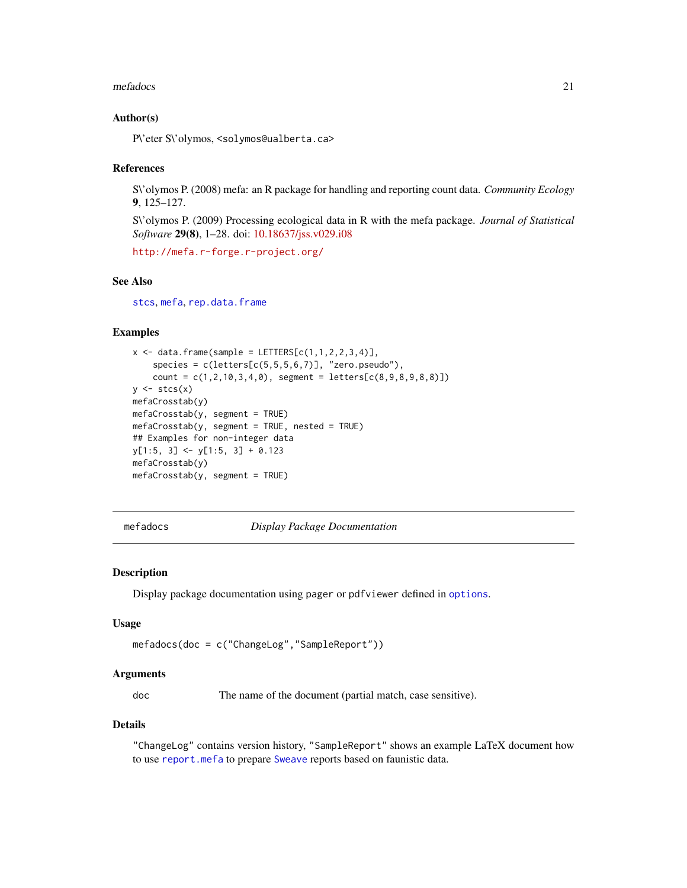#### <span id="page-20-0"></span>mefadocs 21

#### Author(s)

P\'eter S\'olymos, <solymos@ualberta.ca>

#### References

S\'olymos P. (2008) mefa: an R package for handling and reporting count data. *Community Ecology* 9, 125–127.

S\'olymos P. (2009) Processing ecological data in R with the mefa package. *Journal of Statistical Software* 29(8), 1–28. doi: [10.18637/jss.v029.i08](https://doi.org/10.18637/jss.v029.i08)

<http://mefa.r-forge.r-project.org/>

## See Also

[stcs](#page-35-1), [mefa](#page-14-1), [rep.data.frame](#page-31-1)

## Examples

```
x \le - data.frame(sample = LETTERS[c(1,1,2,2,3,4)],
    species = c(leftters[c(5,5,5,6,7)], 'zero.pseudo''),count = c(1, 2, 10, 3, 4, 0), segment = letters[c(8, 9, 8, 9, 8, 8)])y \leftarrow \text{stcs}(x)mefaCrosstab(y)
mefaCrosstab(y, segment = TRUE)
mefaCrosstab(y, segment = TRUE, nested = TRUE)
## Examples for non-integer data
y[1:5, 3] <- y[1:5, 3] + 0.123
mefaCrosstab(y)
mefaCrosstab(y, segment = TRUE)
```
mefadocs *Display Package Documentation*

#### Description

Display package documentation using pager or pdfviewer defined in [options](#page-0-0).

#### Usage

```
mefadocs(doc = c("ChangeLog","SampleReport"))
```
#### Arguments

doc The name of the document (partial match, case sensitive).

#### Details

"ChangeLog" contains version history, "SampleReport" shows an example LaTeX document how to use [report.mefa](#page-32-1) to prepare [Sweave](#page-0-0) reports based on faunistic data.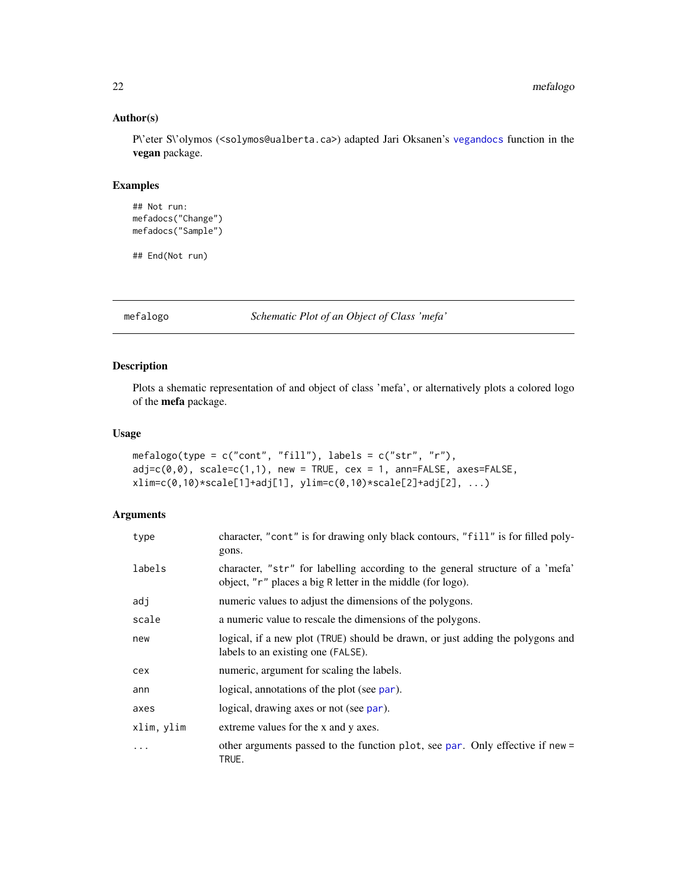## Author(s)

P\'eter S\'olymos (<solymos@ualberta.ca>) adapted Jari Oksanen's [vegandocs](#page-0-0) function in the vegan package.

## Examples

```
## Not run:
mefadocs("Change")
mefadocs("Sample")
```
## End(Not run)

mefalogo *Schematic Plot of an Object of Class 'mefa'*

## Description

Plots a shematic representation of and object of class 'mefa', or alternatively plots a colored logo of the mefa package.

## Usage

```
mefalogo(type = c("cont", "fill"), labels = c("str", "r"),
adj=c(\emptyset, \emptyset), scale=c(1,1), new = TRUE, cex = 1, ann=FALSE, axes=FALSE,
xlim=c(0,10)*scale[1]+adj[1], ylim=c(0,10)*scale[2]+adj[2], ...)
```
#### Arguments

| type       | character, "cont" is for drawing only black contours, "fill" is for filled poly-<br>gons.                                                    |
|------------|----------------------------------------------------------------------------------------------------------------------------------------------|
| labels     | character, "str" for labelling according to the general structure of a 'mefa'<br>object, "r" places a big R letter in the middle (for logo). |
| adj        | numeric values to adjust the dimensions of the polygons.                                                                                     |
| scale      | a numeric value to rescale the dimensions of the polygons.                                                                                   |
| new        | logical, if a new plot (TRUE) should be drawn, or just adding the polygons and<br>labels to an existing one (FALSE).                         |
| cex        | numeric, argument for scaling the labels.                                                                                                    |
| ann        | logical, annotations of the plot (see par).                                                                                                  |
| axes       | logical, drawing axes or not (see par).                                                                                                      |
| xlim, ylim | extreme values for the x and y axes.                                                                                                         |
| $\ddotsc$  | other arguments passed to the function plot, see par. Only effective if new =<br>TRUE.                                                       |

<span id="page-21-0"></span>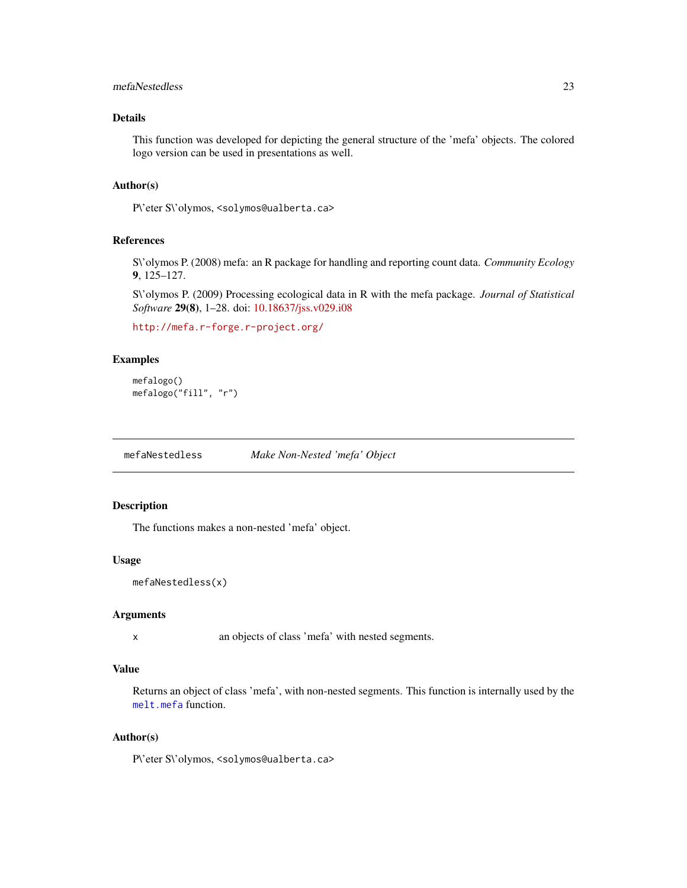## <span id="page-22-0"></span>mefaNestedless 23

## Details

This function was developed for depicting the general structure of the 'mefa' objects. The colored logo version can be used in presentations as well.

#### Author(s)

P\'eter S\'olymos, <solymos@ualberta.ca>

## References

S\'olymos P. (2008) mefa: an R package for handling and reporting count data. *Community Ecology* 9, 125–127.

S\'olymos P. (2009) Processing ecological data in R with the mefa package. *Journal of Statistical Software* 29(8), 1–28. doi: [10.18637/jss.v029.i08](https://doi.org/10.18637/jss.v029.i08)

<http://mefa.r-forge.r-project.org/>

## Examples

```
mefalogo()
mefalogo("fill", "r")
```
mefaNestedless *Make Non-Nested 'mefa' Object*

## Description

The functions makes a non-nested 'mefa' object.

#### Usage

```
mefaNestedless(x)
```
#### Arguments

x an objects of class 'mefa' with nested segments.

## Value

Returns an object of class 'mefa', with non-nested segments. This function is internally used by the [melt.mefa](#page-25-1) function.

## Author(s)

P\'eter S\'olymos, <solymos@ualberta.ca>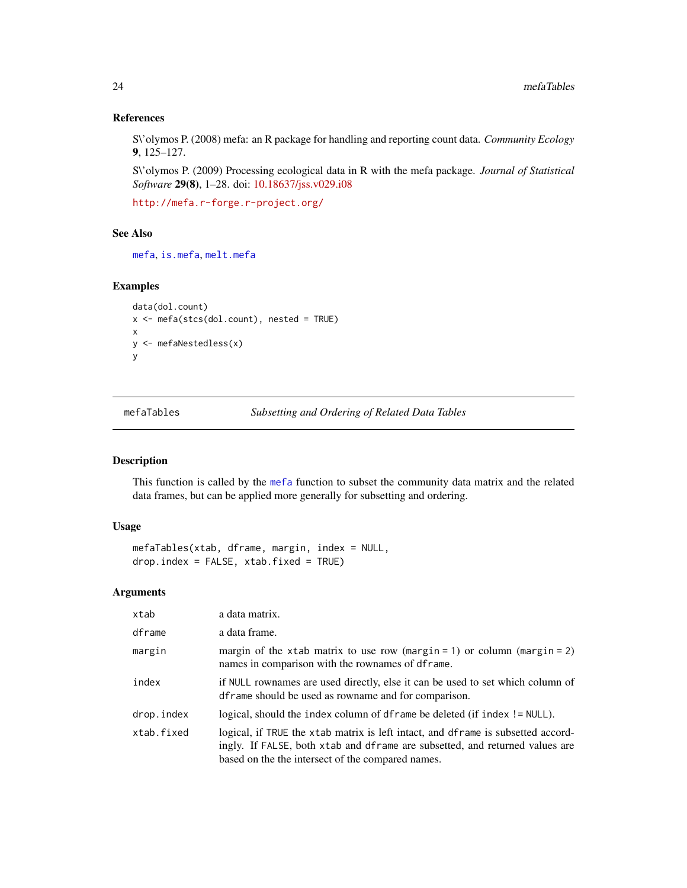#### References

S\'olymos P. (2008) mefa: an R package for handling and reporting count data. *Community Ecology* 9, 125–127.

S\'olymos P. (2009) Processing ecological data in R with the mefa package. *Journal of Statistical Software* 29(8), 1–28. doi: [10.18637/jss.v029.i08](https://doi.org/10.18637/jss.v029.i08)

<http://mefa.r-forge.r-project.org/>

## See Also

[mefa](#page-14-1), [is.mefa](#page-14-2), [melt.mefa](#page-25-1)

## Examples

```
data(dol.count)
x <- mefa(stcs(dol.count), nested = TRUE)
x
y <- mefaNestedless(x)
y
```
mefaTables *Subsetting and Ordering of Related Data Tables*

## Description

This function is called by the [mefa](#page-14-1) function to subset the community data matrix and the related data frames, but can be applied more generally for subsetting and ordering.

#### Usage

```
mefaTables(xtab, dframe, margin, index = NULL,
drop.index = FALSE, xtab.fixed = TRUE)
```
## Arguments

| xtab       | a data matrix.                                                                                                                                                                                                        |
|------------|-----------------------------------------------------------------------------------------------------------------------------------------------------------------------------------------------------------------------|
| dframe     | a data frame.                                                                                                                                                                                                         |
| margin     | margin of the xtab matrix to use row (margin = 1) or column (margin = 2)<br>names in comparison with the rownames of dframe.                                                                                          |
| index      | if NULL rownames are used directly, else it can be used to set which column of<br>dframe should be used as rowname and for comparison.                                                                                |
| drop.index | logical, should the index column of dframe be deleted (if index != NULL).                                                                                                                                             |
| xtab.fixed | logical, if TRUE the xtab matrix is left intact, and dframe is subsetted accord-<br>ingly. If FALSE, both xtab and dframe are subsetted, and returned values are<br>based on the the intersect of the compared names. |

<span id="page-23-0"></span>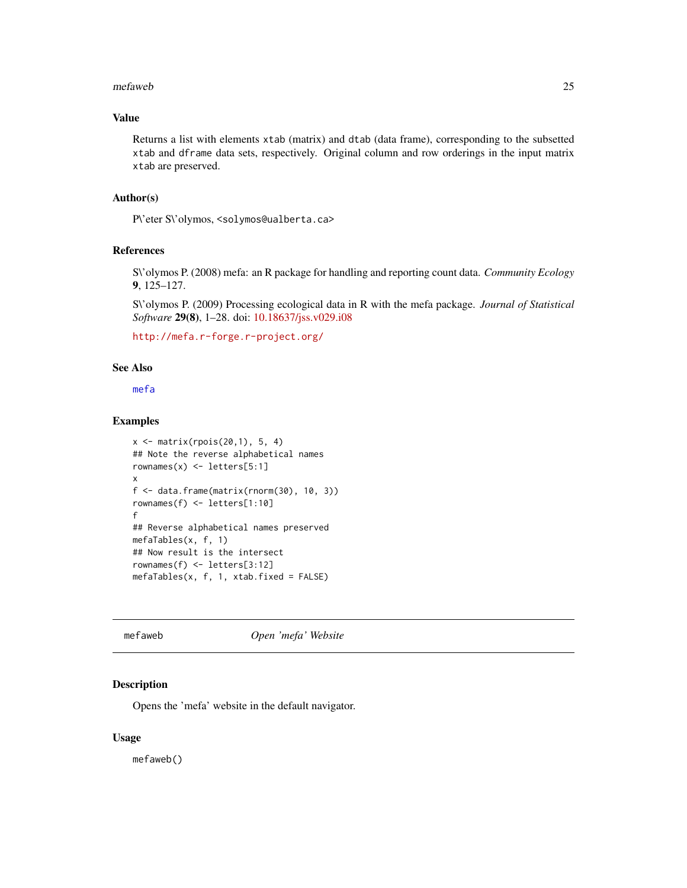#### <span id="page-24-0"></span>mefaweb 25

## Value

Returns a list with elements xtab (matrix) and dtab (data frame), corresponding to the subsetted xtab and dframe data sets, respectively. Original column and row orderings in the input matrix xtab are preserved.

## Author(s)

P\'eter S\'olymos, <solymos@ualberta.ca>

#### References

S\'olymos P. (2008) mefa: an R package for handling and reporting count data. *Community Ecology* 9, 125–127.

S\'olymos P. (2009) Processing ecological data in R with the mefa package. *Journal of Statistical Software* 29(8), 1–28. doi: [10.18637/jss.v029.i08](https://doi.org/10.18637/jss.v029.i08)

```
http://mefa.r-forge.r-project.org/
```
#### See Also

[mefa](#page-14-1)

## Examples

```
x <- matrix(rpois(20,1), 5, 4)
## Note the reverse alphabetical names
rownames(x) \leftarrow letters[5:1]x
f \leftarrow data . frame(maxrix(rnorm(30), 10, 3))rownames(f) <- letters[1:10]
f
## Reverse alphabetical names preserved
mefaTables(x, f, 1)
## Now result is the intersect
rownames(f) <- letters[3:12]
mefaTables(x, f, 1, xtab.fixed = FALSE)
```
mefaweb *Open 'mefa' Website*

## Description

Opens the 'mefa' website in the default navigator.

## Usage

mefaweb()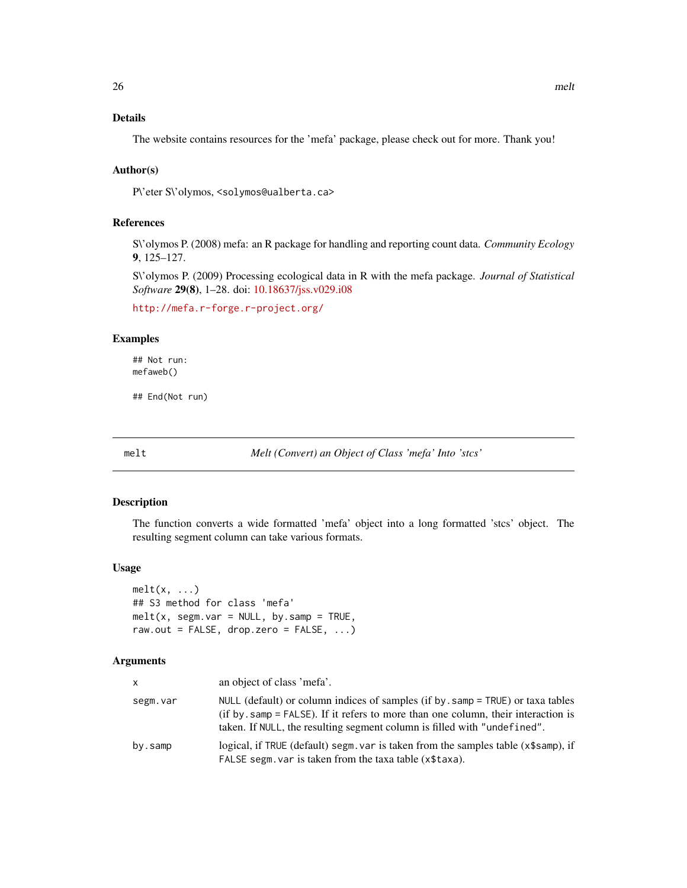## <span id="page-25-0"></span>Details

The website contains resources for the 'mefa' package, please check out for more. Thank you!

## Author(s)

P\'eter S\'olymos, <solymos@ualberta.ca>

## References

S\'olymos P. (2008) mefa: an R package for handling and reporting count data. *Community Ecology* 9, 125–127.

S\'olymos P. (2009) Processing ecological data in R with the mefa package. *Journal of Statistical Software* 29(8), 1–28. doi: [10.18637/jss.v029.i08](https://doi.org/10.18637/jss.v029.i08)

<http://mefa.r-forge.r-project.org/>

## Examples

## Not run: mefaweb()

## End(Not run)

melt *Melt (Convert) an Object of Class 'mefa' Into 'stcs'*

#### <span id="page-25-1"></span>Description

The function converts a wide formatted 'mefa' object into a long formatted 'stcs' object. The resulting segment column can take various formats.

#### Usage

```
melt(x, \ldots)## S3 method for class 'mefa'
melt(x, segm.var = NULL, by.samp = TRUE,raw.out = FALSE, drop.zero = FALSE, \ldots)
```
## Arguments

| x        | an object of class 'mefa'.                                                                                                                                                                                                                            |
|----------|-------------------------------------------------------------------------------------------------------------------------------------------------------------------------------------------------------------------------------------------------------|
| segm.var | NULL (default) or column indices of samples (if by, samp = $TRUE$ ) or taxa tables<br>(if by, samp $=$ FALSE). If it refers to more than one column, their interaction is<br>taken. If NULL, the resulting segment column is filled with "undefined". |
| by.samp  | logical, if TRUE (default) segm, var is taken from the samples table (x\$samp), if<br>FALSE segm, var is taken from the taxa table (x\$taxa).                                                                                                         |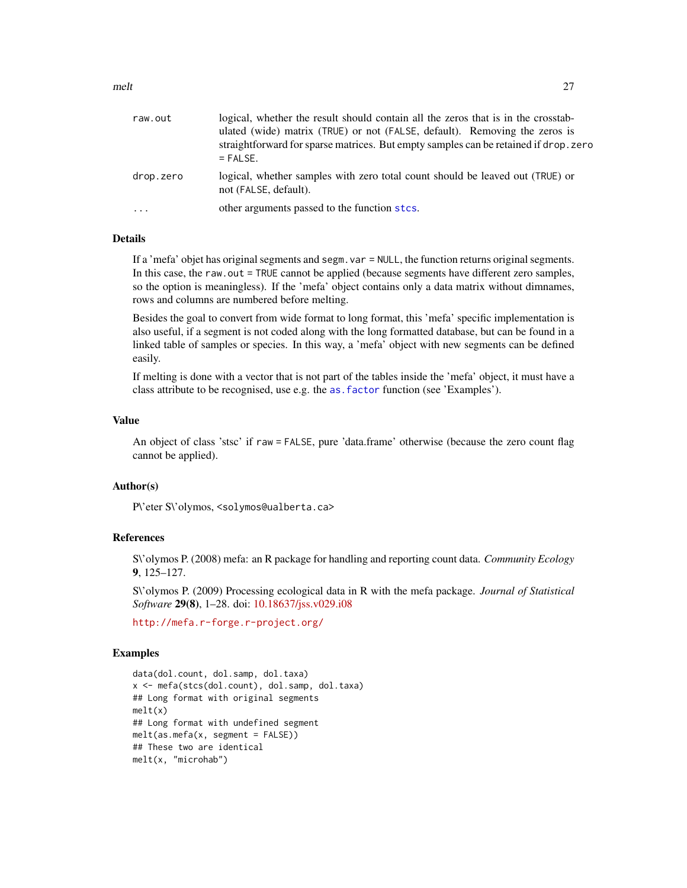<span id="page-26-0"></span>

| raw.out   | logical, whether the result should contain all the zeros that is in the crosstab-<br>ulated (wide) matrix (TRUE) or not (FALSE, default). Removing the zeros is<br>straightforward for sparse matrices. But empty samples can be retained if drop. zero<br>$=$ FALSE. |
|-----------|-----------------------------------------------------------------------------------------------------------------------------------------------------------------------------------------------------------------------------------------------------------------------|
| drop.zero | logical, whether samples with zero total count should be leaved out (TRUE) or<br>not (FALSE, default).                                                                                                                                                                |
| $\cdot$   | other arguments passed to the function stcs.                                                                                                                                                                                                                          |

### Details

If a 'mefa' objet has original segments and segm.var = NULL, the function returns original segments. In this case, the raw.out = TRUE cannot be applied (because segments have different zero samples, so the option is meaningless). If the 'mefa' object contains only a data matrix without dimnames, rows and columns are numbered before melting.

Besides the goal to convert from wide format to long format, this 'mefa' specific implementation is also useful, if a segment is not coded along with the long formatted database, but can be found in a linked table of samples or species. In this way, a 'mefa' object with new segments can be defined easily.

If melting is done with a vector that is not part of the tables inside the 'mefa' object, it must have a class attribute to be recognised, use e.g. the [as.factor](#page-0-0) function (see 'Examples').

## Value

An object of class 'stsc' if raw = FALSE, pure 'data.frame' otherwise (because the zero count flag cannot be applied).

## Author(s)

P\'eter S\'olymos, <solymos@ualberta.ca>

#### References

S\'olymos P. (2008) mefa: an R package for handling and reporting count data. *Community Ecology* 9, 125–127.

S\'olymos P. (2009) Processing ecological data in R with the mefa package. *Journal of Statistical Software* 29(8), 1–28. doi: [10.18637/jss.v029.i08](https://doi.org/10.18637/jss.v029.i08)

<http://mefa.r-forge.r-project.org/>

```
data(dol.count, dol.samp, dol.taxa)
x <- mefa(stcs(dol.count), dol.samp, dol.taxa)
## Long format with original segments
melt(x)
## Long format with undefined segment
melt(as.mefa(x, segment = FALSE))
## These two are identical
melt(x, "microhab")
```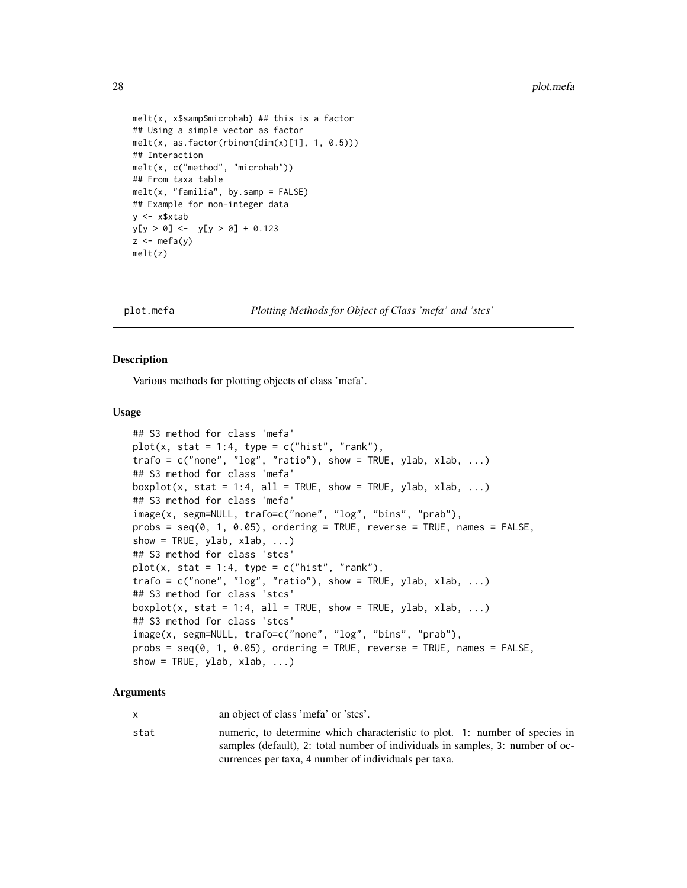```
melt(x, x$samp$microhab) ## this is a factor
## Using a simple vector as factor
melt(x, as.factor(rbinom(dim(x)[1], 1, 0.5)))
## Interaction
melt(x, c("method", "microhab"))
## From taxa table
melt(x, "familiar, by.sum = FALSE)## Example for non-integer data
y <- x$xtab
y[y > 0] <- y[y > 0] + 0.123
z < - mefa(y)
melt(z)
```
<span id="page-27-1"></span>

plot.mefa *Plotting Methods for Object of Class 'mefa' and 'stcs'*

#### <span id="page-27-2"></span>**Description**

Various methods for plotting objects of class 'mefa'.

## Usage

```
## S3 method for class 'mefa'
plot(x, stat = 1:4, type = c("hist", "rank"),trafo = c("none", "log", "ratio"), show = TRUE, ylab, xlab, ...)## S3 method for class 'mefa'
boxplot(x, stat = 1:4, all = TRUE, show = TRUE, ylab, xlab, ...)
## S3 method for class 'mefa'
image(x, segm=NULL, trafo=c("none", "log", "bins", "prab"),
probs = seq(0, 1, 0.05), ordering = TRUE, reverse = TRUE, names = FALSE,
show = TRUE, ylab, xlab, \ldots)
## S3 method for class 'stcs'
plot(x, stat = 1:4, type = c("hist", "rank"),trafo = c("none", "log", "ratio"), show = TRUE, ylab, xlab, ...)## S3 method for class 'stcs'
boxplot(x, stat = 1:4, all = TRUE, show = TRUE, ylab, xlab, \ldots)
## S3 method for class 'stcs'
image(x, segm=NULL, trafo=c("none", "log", "bins", "prab"),
probs = seq(0, 1, 0.05), ordering = TRUE, reverse = TRUE, names = FALSE,
show = TRUE, ylab, xlab, \ldots)
```
## Arguments

x an object of class 'mefa' or 'stcs'.

stat numeric, to determine which characteristic to plot. 1: number of species in samples (default), 2: total number of individuals in samples, 3: number of occurrences per taxa, 4 number of individuals per taxa.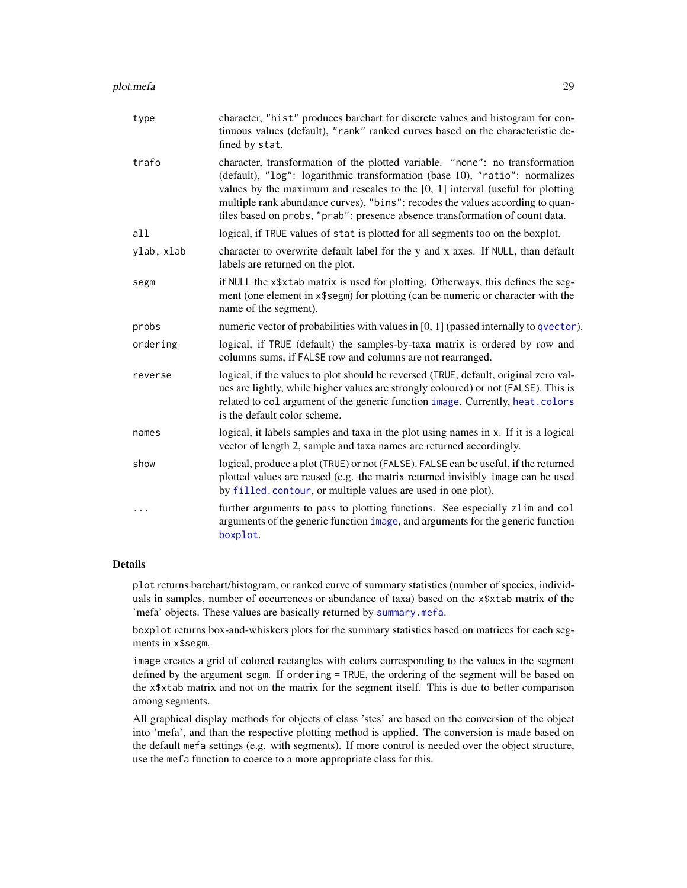<span id="page-28-0"></span>

| type       | character, "hist" produces barchart for discrete values and histogram for con-<br>tinuous values (default), "rank" ranked curves based on the characteristic de-<br>fined by stat.                                                                                                                                                                                                                                |
|------------|-------------------------------------------------------------------------------------------------------------------------------------------------------------------------------------------------------------------------------------------------------------------------------------------------------------------------------------------------------------------------------------------------------------------|
| trafo      | character, transformation of the plotted variable. "none": no transformation<br>(default), "log": logarithmic transformation (base 10), "ratio": normalizes<br>values by the maximum and rescales to the $[0, 1]$ interval (useful for plotting<br>multiple rank abundance curves), "bins": recodes the values according to quan-<br>tiles based on probs, "prab": presence absence transformation of count data. |
| a11        | logical, if TRUE values of stat is plotted for all segments too on the boxplot.                                                                                                                                                                                                                                                                                                                                   |
| ylab, xlab | character to overwrite default label for the y and x axes. If NULL, than default<br>labels are returned on the plot.                                                                                                                                                                                                                                                                                              |
| segm       | if NULL the x\$xtab matrix is used for plotting. Otherways, this defines the seg-<br>ment (one element in x\$segm) for plotting (can be numeric or character with the<br>name of the segment).                                                                                                                                                                                                                    |
| probs      | numeric vector of probabilities with values in [0, 1] (passed internally to qvector).                                                                                                                                                                                                                                                                                                                             |
| ordering   | logical, if TRUE (default) the samples-by-taxa matrix is ordered by row and<br>columns sums, if FALSE row and columns are not rearranged.                                                                                                                                                                                                                                                                         |
| reverse    | logical, if the values to plot should be reversed (TRUE, default, original zero val-<br>ues are lightly, while higher values are strongly coloured) or not (FALSE). This is<br>related to col argument of the generic function image. Currently, heat.colors<br>is the default color scheme.                                                                                                                      |
| names      | logical, it labels samples and taxa in the plot using names in x. If it is a logical<br>vector of length 2, sample and taxa names are returned accordingly.                                                                                                                                                                                                                                                       |
| show       | logical, produce a plot (TRUE) or not (FALSE). FALSE can be useful, if the returned<br>plotted values are reused (e.g. the matrix returned invisibly image can be used<br>by filled. contour, or multiple values are used in one plot).                                                                                                                                                                           |
| $\ddots$   | further arguments to pass to plotting functions. See especially zlim and col<br>arguments of the generic function image, and arguments for the generic function<br>boxplot.                                                                                                                                                                                                                                       |

#### Details

plot returns barchart/histogram, or ranked curve of summary statistics (number of species, individuals in samples, number of occurrences or abundance of taxa) based on the x\$xtab matrix of the 'mefa' objects. These values are basically returned by [summary.mefa](#page-14-2).

boxplot returns box-and-whiskers plots for the summary statistics based on matrices for each segments in x\$segm.

image creates a grid of colored rectangles with colors corresponding to the values in the segment defined by the argument segm. If ordering = TRUE, the ordering of the segment will be based on the x\$xtab matrix and not on the matrix for the segment itself. This is due to better comparison among segments.

All graphical display methods for objects of class 'stcs' are based on the conversion of the object into 'mefa', and than the respective plotting method is applied. The conversion is made based on the default mefa settings (e.g. with segments). If more control is needed over the object structure, use the mefa function to coerce to a more appropriate class for this.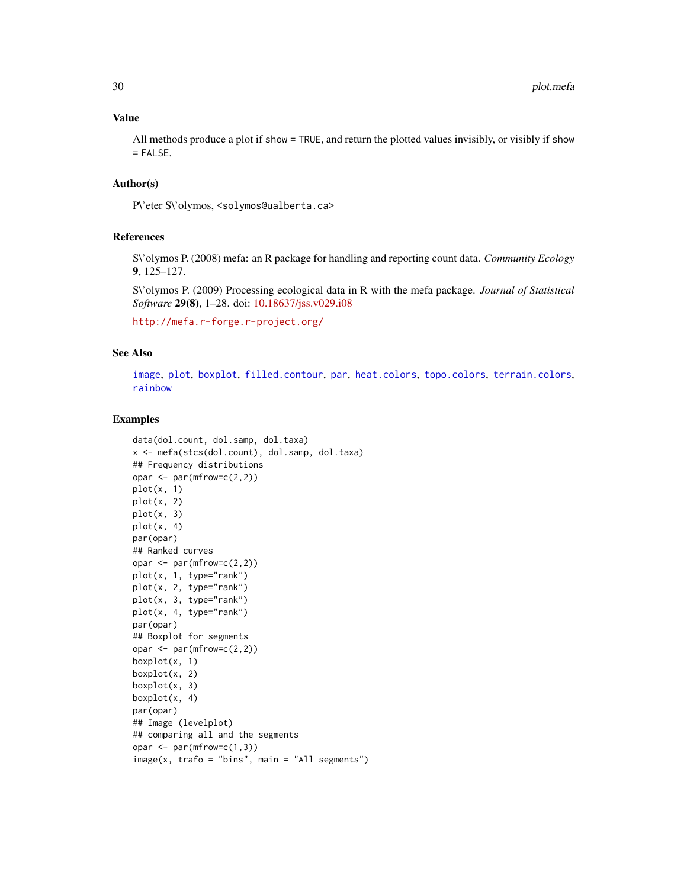## <span id="page-29-0"></span>Value

All methods produce a plot if show = TRUE, and return the plotted values invisibly, or visibly if show = FALSE.

## Author(s)

P\'eter S\'olymos, <solymos@ualberta.ca>

#### References

S\'olymos P. (2008) mefa: an R package for handling and reporting count data. *Community Ecology* 9, 125–127.

S\'olymos P. (2009) Processing ecological data in R with the mefa package. *Journal of Statistical Software* 29(8), 1–28. doi: [10.18637/jss.v029.i08](https://doi.org/10.18637/jss.v029.i08)

<http://mefa.r-forge.r-project.org/>

## See Also

[image](#page-0-0), [plot](#page-0-0), [boxplot](#page-0-0), [filled.contour](#page-0-0), [par](#page-0-0), [heat.colors](#page-0-0), [topo.colors](#page-0-0), [terrain.colors](#page-0-0), [rainbow](#page-0-0)

```
data(dol.count, dol.samp, dol.taxa)
x <- mefa(stcs(dol.count), dol.samp, dol.taxa)
## Frequency distributions
opar \leq par(mfrow=c(2,2))
plot(x, 1)
plot(x, 2)
plot(x, 3)
plot(x, 4)par(opar)
## Ranked curves
opar \leq par(mfrow=c(2,2))
plot(x, 1, type="rank")
plot(x, 2, type="rank")
plot(x, 3, type="rank")
plot(x, 4, type="rank")par(opar)
## Boxplot for segments
opar <- par(mfrow=c(2,2))
boxplot(x, 1)
boxplot(x, 2)
boxplot(x, 3)
boxplot(x, 4)
par(opar)
## Image (levelplot)
## comparing all and the segments
opar <- par(mfrow=c(1,3))
image(x, trafo = "bins", main = "All segments")
```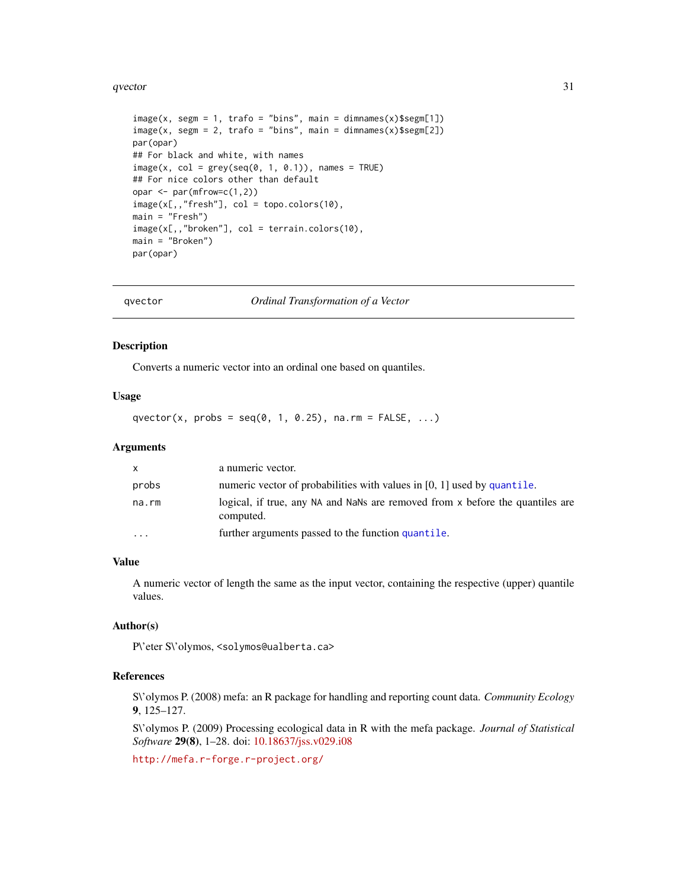#### <span id="page-30-0"></span>qvector 31

```
image(x, segm = 1, trafo = "bins", main = dimnames(x)$segm[1])
image(x, segm = 2, trafo = "bins", main = dimnames(x)$segm[2])
par(opar)
## For black and white, with names
image(x, col = grey(seq(0, 1, 0.1)), names = TRUE)## For nice colors other than default
opar \leq par(mfrow=c(1,2))
image(x[,,"fresh"], col = topo.colors(10),
main = "Fresh")image(x[,,"broken"], col = terrain.colors(10),
main = "Broken")
par(opar)
```
<span id="page-30-1"></span>

qvector *Ordinal Transformation of a Vector*

#### Description

Converts a numeric vector into an ordinal one based on quantiles.

#### Usage

qvector(x, probs =  $seq(0, 1, 0.25)$ , na.rm =  $FALSE, ...$ )

#### **Arguments**

| <b>X</b>  | a numeric vector.                                                                          |
|-----------|--------------------------------------------------------------------------------------------|
| probs     | numeric vector of probabilities with values in [0, 1] used by quantile.                    |
| na.rm     | logical, if true, any NA and NaNs are removed from x before the quantiles are<br>computed. |
| $\ddotsc$ | further arguments passed to the function quantile.                                         |

#### Value

A numeric vector of length the same as the input vector, containing the respective (upper) quantile values.

#### Author(s)

P\'eter S\'olymos, <solymos@ualberta.ca>

#### References

S\'olymos P. (2008) mefa: an R package for handling and reporting count data. *Community Ecology* 9, 125–127.

S\'olymos P. (2009) Processing ecological data in R with the mefa package. *Journal of Statistical Software* 29(8), 1–28. doi: [10.18637/jss.v029.i08](https://doi.org/10.18637/jss.v029.i08)

<http://mefa.r-forge.r-project.org/>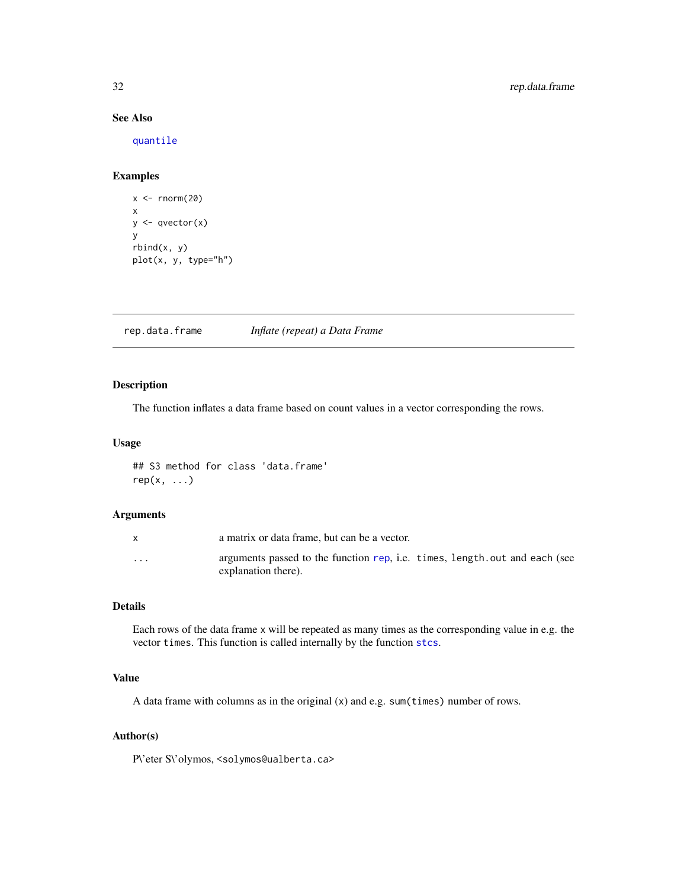## See Also

[quantile](#page-0-0)

## Examples

```
x < - rnorm(20)
x
y \leftarrow qvector(x)y
rbind(x, y)plot(x, y, type="h")
```
<span id="page-31-1"></span>rep.data.frame *Inflate (repeat) a Data Frame*

## Description

The function inflates a data frame based on count values in a vector corresponding the rows.

## Usage

## S3 method for class 'data.frame'  $rep(x, \ldots)$ 

#### Arguments

|                      | a matrix or data frame, but can be a vector.                                                             |
|----------------------|----------------------------------------------------------------------------------------------------------|
| $\ddot{\phantom{0}}$ | arguments passed to the function rep. <i>i.e.</i> times, length out and each (see<br>explanation there). |

## Details

Each rows of the data frame x will be repeated as many times as the corresponding value in e.g. the vector times. This function is called internally by the function [stcs](#page-35-1).

## Value

A data frame with columns as in the original (x) and e.g. sum(times) number of rows.

## Author(s)

P\'eter S\'olymos, <solymos@ualberta.ca>

<span id="page-31-0"></span>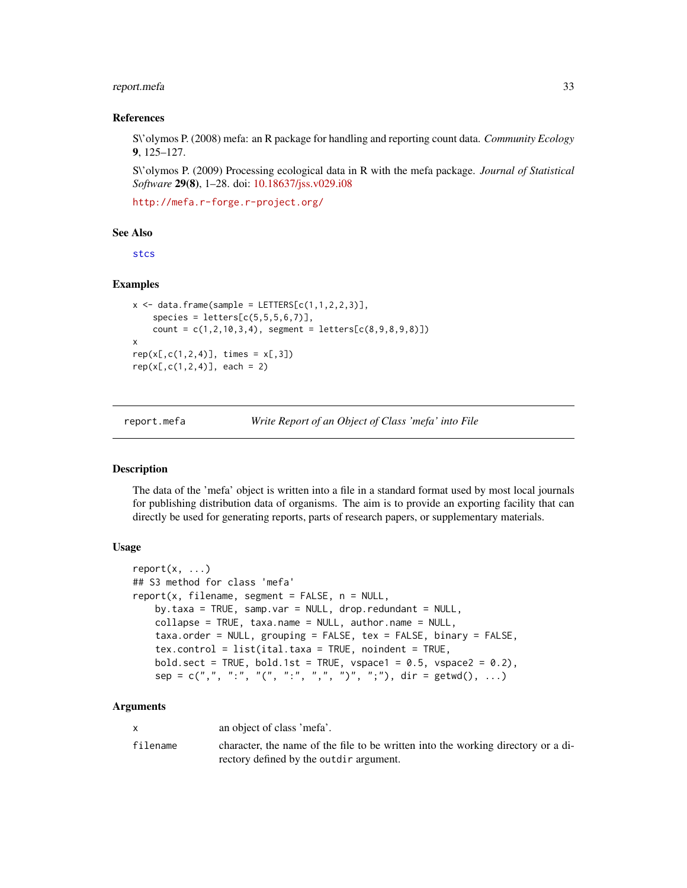## <span id="page-32-0"></span>report.mefa 33

#### References

S\'olymos P. (2008) mefa: an R package for handling and reporting count data. *Community Ecology* 9, 125–127.

S\'olymos P. (2009) Processing ecological data in R with the mefa package. *Journal of Statistical Software* 29(8), 1–28. doi: [10.18637/jss.v029.i08](https://doi.org/10.18637/jss.v029.i08)

<http://mefa.r-forge.r-project.org/>

#### See Also

[stcs](#page-35-1)

## Examples

```
x \le - data.frame(sample = LETTERS[c(1,1,2,2,3)],
    species = letters[c(5,5,5,6,7)],count = c(1, 2, 10, 3, 4), segment = letters[c(8, 9, 8, 9, 8)])
x
rep(x[,c(1,2,4)], times = x[,3])rep(x[,c(1,2,4)], each = 2)
```
<span id="page-32-1"></span>report.mefa *Write Report of an Object of Class 'mefa' into File*

## **Description**

The data of the 'mefa' object is written into a file in a standard format used by most local journals for publishing distribution data of organisms. The aim is to provide an exporting facility that can directly be used for generating reports, parts of research papers, or supplementary materials.

#### Usage

```
report(x, ...)
## S3 method for class 'mefa'
report(x, filename, segment = FALSE, n = NULL,by.taxa = TRUE, samp.var = NULL, drop.redundant = NULL,
    collapse = TRUE, taxa.name = NULL, author.name = NULL,
    taxa.order = NULL, grouping = FALSE, tex = FALSE, binary = FALSE,
    tex.control = list(ital.taxa = TRUE, noindent = TRUE,
    bold.sect = TRUE, bold.1st = TRUE, vspace1 = 0.5, vspace2 = 0.2),
    sep = c(","", ":"", "("", ":"", ", ","", "")", ";"), dir = getwd(), ...)
```
#### Arguments

|          | an object of class 'mefa'.                                                                                                   |
|----------|------------------------------------------------------------------------------------------------------------------------------|
| filename | character, the name of the file to be written into the working directory or a di-<br>rectory defined by the outdir argument. |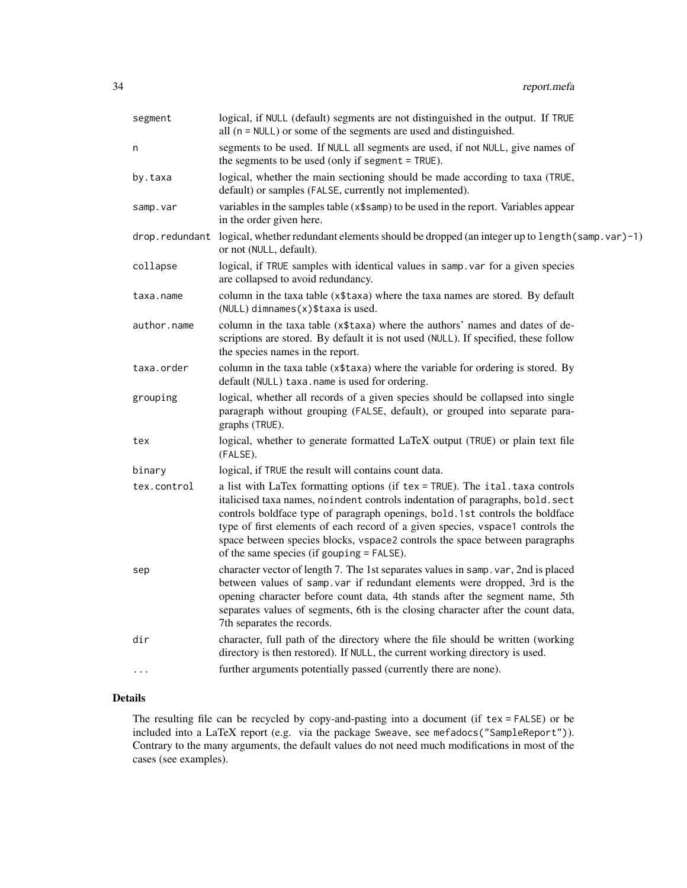| segment        | logical, if NULL (default) segments are not distinguished in the output. If TRUE<br>all (n = NULL) or some of the segments are used and distinguished.                                                                                                                                                                                                                                                                                                         |
|----------------|----------------------------------------------------------------------------------------------------------------------------------------------------------------------------------------------------------------------------------------------------------------------------------------------------------------------------------------------------------------------------------------------------------------------------------------------------------------|
| n              | segments to be used. If NULL all segments are used, if not NULL, give names of<br>the segments to be used (only if segment = TRUE).                                                                                                                                                                                                                                                                                                                            |
| by.taxa        | logical, whether the main sectioning should be made according to taxa (TRUE,<br>default) or samples (FALSE, currently not implemented).                                                                                                                                                                                                                                                                                                                        |
| samp.var       | variables in the samples table (x\$samp) to be used in the report. Variables appear<br>in the order given here.                                                                                                                                                                                                                                                                                                                                                |
| drop.redundant | logical, whether redundant elements should be dropped (an integer up to length(samp.var)-1)<br>or not (NULL, default).                                                                                                                                                                                                                                                                                                                                         |
| collapse       | logical, if TRUE samples with identical values in samp. var for a given species<br>are collapsed to avoid redundancy.                                                                                                                                                                                                                                                                                                                                          |
| taxa.name      | column in the taxa table (x\$taxa) where the taxa names are stored. By default<br>$(NULL)$ dimnames $(x)$ \$taxa is used.                                                                                                                                                                                                                                                                                                                                      |
| author.name    | column in the taxa table (x\$taxa) where the authors' names and dates of de-<br>scriptions are stored. By default it is not used (NULL). If specified, these follow<br>the species names in the report.                                                                                                                                                                                                                                                        |
| taxa.order     | column in the taxa table (x\$taxa) where the variable for ordering is stored. By<br>default (NULL) taxa.name is used for ordering.                                                                                                                                                                                                                                                                                                                             |
| grouping       | logical, whether all records of a given species should be collapsed into single<br>paragraph without grouping (FALSE, default), or grouped into separate para-<br>graphs (TRUE).                                                                                                                                                                                                                                                                               |
| tex            | logical, whether to generate formatted LaTeX output (TRUE) or plain text file<br>(FALSE).                                                                                                                                                                                                                                                                                                                                                                      |
| binary         | logical, if TRUE the result will contains count data.                                                                                                                                                                                                                                                                                                                                                                                                          |
| tex.control    | a list with LaTex formatting options (if tex = TRUE). The ital. taxa controls<br>italicised taxa names, noindent controls indentation of paragraphs, bold. sect<br>controls boldface type of paragraph openings, bold. 1st controls the boldface<br>type of first elements of each record of a given species, vspace1 controls the<br>space between species blocks, vspace2 controls the space between paragraphs<br>of the same species (if gouping = FALSE). |
| sep            | character vector of length 7. The 1st separates values in samp. var, 2nd is placed<br>between values of samp var if redundant elements were dropped, 3rd is the<br>opening character before count data, 4th stands after the segment name, 5th<br>separates values of segments, 6th is the closing character after the count data,<br>7th separates the records.                                                                                               |
| dir            | character, full path of the directory where the file should be written (working<br>directory is then restored). If NULL, the current working directory is used.                                                                                                                                                                                                                                                                                                |
| .              | further arguments potentially passed (currently there are none).                                                                                                                                                                                                                                                                                                                                                                                               |

## Details

The resulting file can be recycled by copy-and-pasting into a document (if tex = FALSE) or be included into a LaTeX report (e.g. via the package Sweave, see mefadocs("SampleReport")). Contrary to the many arguments, the default values do not need much modifications in most of the cases (see examples).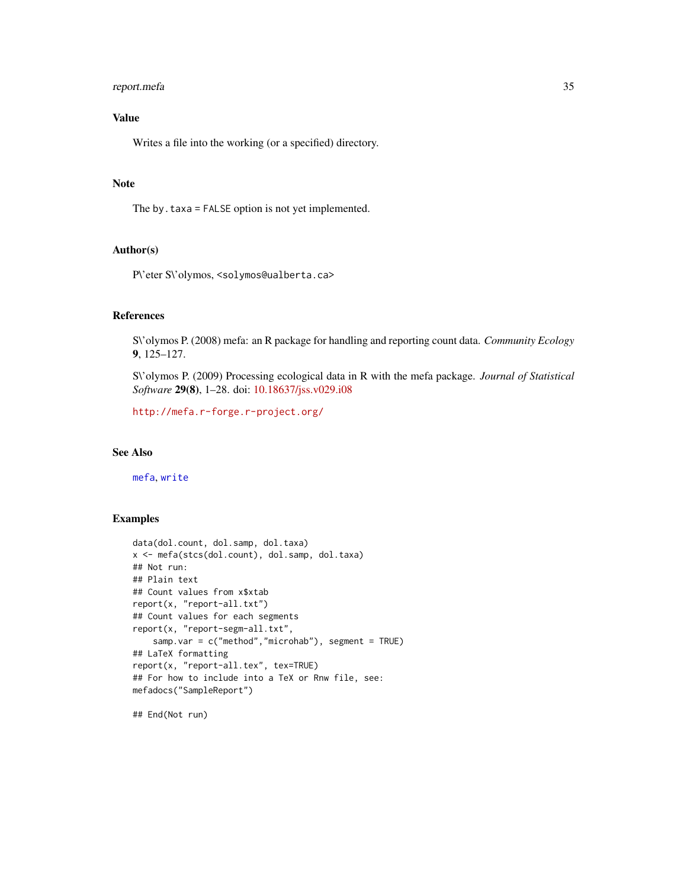## <span id="page-34-0"></span>report.mefa 35

## Value

Writes a file into the working (or a specified) directory.

### Note

The by.taxa = FALSE option is not yet implemented.

## Author(s)

P\'eter S\'olymos, <solymos@ualberta.ca>

## References

S\'olymos P. (2008) mefa: an R package for handling and reporting count data. *Community Ecology* 9, 125–127.

S\'olymos P. (2009) Processing ecological data in R with the mefa package. *Journal of Statistical Software* 29(8), 1–28. doi: [10.18637/jss.v029.i08](https://doi.org/10.18637/jss.v029.i08)

<http://mefa.r-forge.r-project.org/>

#### See Also

[mefa](#page-14-1), [write](#page-0-0)

## Examples

```
data(dol.count, dol.samp, dol.taxa)
x <- mefa(stcs(dol.count), dol.samp, dol.taxa)
## Not run:
## Plain text
## Count values from x$xtab
report(x, "report-all.txt")
## Count values for each segments
report(x, "report-segm-all.txt",
    samp.var = c("method","microhab"), segment = TRUE)
## LaTeX formatting
report(x, "report-all.tex", tex=TRUE)
## For how to include into a TeX or Rnw file, see:
mefadocs("SampleReport")
```
## End(Not run)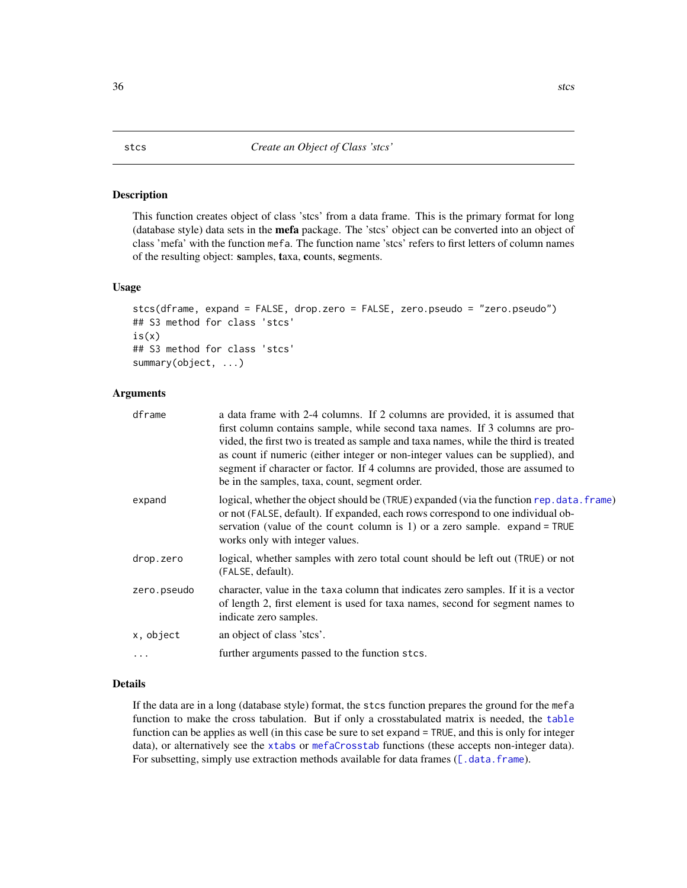#### <span id="page-35-1"></span><span id="page-35-0"></span>Description

This function creates object of class 'stcs' from a data frame. This is the primary format for long (database style) data sets in the mefa package. The 'stcs' object can be converted into an object of class 'mefa' with the function mefa. The function name 'stcs' refers to first letters of column names of the resulting object: samples, taxa, counts, segments.

#### Usage

```
stcs(dframe, expand = FALSE, drop.zero = FALSE, zero.pseudo = "zero.pseudo")
## S3 method for class 'stcs'
is(x)
## S3 method for class 'stcs'
summary(object, ...)
```
## Arguments

| dframe      | a data frame with 2-4 columns. If 2 columns are provided, it is assumed that<br>first column contains sample, while second taxa names. If 3 columns are pro-<br>vided, the first two is treated as sample and taxa names, while the third is treated<br>as count if numeric (either integer or non-integer values can be supplied), and<br>segment if character or factor. If 4 columns are provided, those are assumed to<br>be in the samples, taxa, count, segment order. |
|-------------|------------------------------------------------------------------------------------------------------------------------------------------------------------------------------------------------------------------------------------------------------------------------------------------------------------------------------------------------------------------------------------------------------------------------------------------------------------------------------|
| expand      | logical, whether the object should be (TRUE) expanded (via the function rep. data. frame)<br>or not (FALSE, default). If expanded, each rows correspond to one individual ob-<br>servation (value of the count column is 1) or a zero sample. $expand = TRUE$<br>works only with integer values.                                                                                                                                                                             |
| drop.zero   | logical, whether samples with zero total count should be left out (TRUE) or not<br>(FALSE, default).                                                                                                                                                                                                                                                                                                                                                                         |
| zero.pseudo | character, value in the taxa column that indicates zero samples. If it is a vector<br>of length 2, first element is used for taxa names, second for segment names to<br>indicate zero samples.                                                                                                                                                                                                                                                                               |
| x, object   | an object of class 'stes'.                                                                                                                                                                                                                                                                                                                                                                                                                                                   |
| .           | further arguments passed to the function stcs.                                                                                                                                                                                                                                                                                                                                                                                                                               |

## Details

If the data are in a long (database style) format, the stcs function prepares the ground for the mefa function to make the cross tabulation. But if only a crosstabulated matrix is needed, the [table](#page-0-0) function can be applies as well (in this case be sure to set expand = TRUE, and this is only for integer data), or alternatively see the [xtabs](#page-0-0) or [mefaCrosstab](#page-19-1) functions (these accepts non-integer data). For subsetting, simply use extraction methods available for data frames ([\[.data.frame](#page-0-0)).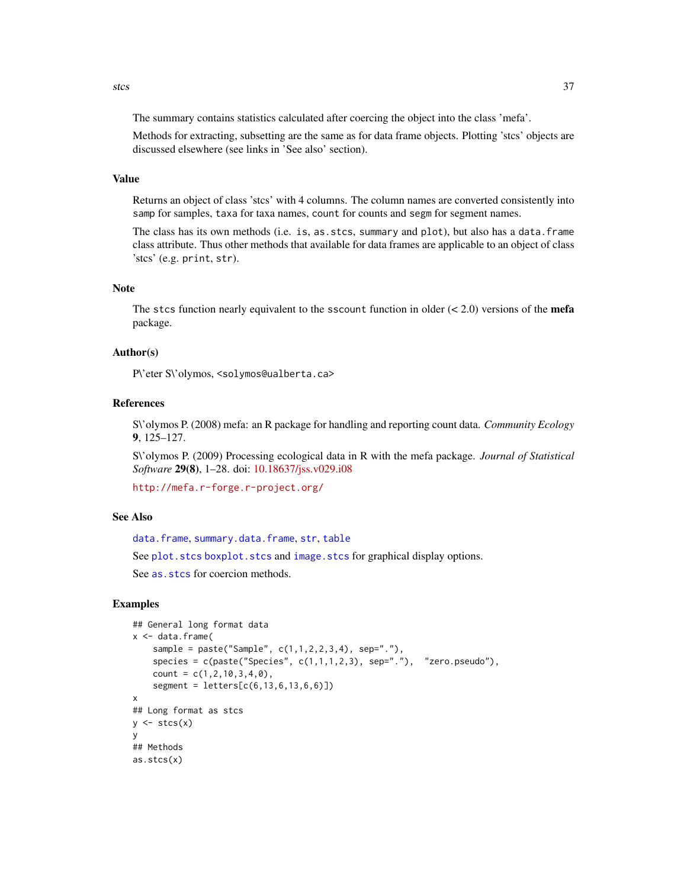<span id="page-36-0"></span>The summary contains statistics calculated after coercing the object into the class 'mefa'.

Methods for extracting, subsetting are the same as for data frame objects. Plotting 'stcs' objects are discussed elsewhere (see links in 'See also' section).

## Value

Returns an object of class 'stcs' with 4 columns. The column names are converted consistently into samp for samples, taxa for taxa names, count for counts and segm for segment names.

The class has its own methods (i.e. is, as.stcs, summary and plot), but also has a data.frame class attribute. Thus other methods that available for data frames are applicable to an object of class 'stcs' (e.g. print, str).

#### Note

The stcs function nearly equivalent to the sscount function in older  $(< 2.0)$  versions of the mefa package.

#### Author(s)

P\'eter S\'olymos, <solymos@ualberta.ca>

#### References

S\'olymos P. (2008) mefa: an R package for handling and reporting count data. *Community Ecology* 9, 125–127.

S\'olymos P. (2009) Processing ecological data in R with the mefa package. *Journal of Statistical Software* 29(8), 1–28. doi: [10.18637/jss.v029.i08](https://doi.org/10.18637/jss.v029.i08)

<http://mefa.r-forge.r-project.org/>

## See Also

[data.frame](#page-0-0), [summary.data.frame](#page-0-0), [str](#page-0-0), [table](#page-0-0)

See plot. stcs boxplot. stcs and image. stcs for graphical display options.

See as. stcs for coercion methods.

```
## General long format data
x < - data.frame(
    sample = paste("Sample", c(1,1,2,2,3,4), sep="."),
    species = c(paste("Species", c(1,1,1,2,3), sep="."), "zero.pseudo"),
    count = c(1, 2, 10, 3, 4, 0),
    segment = letters[c(6,13,6,13,6,6)])
x
## Long format as stcs
y \leftarrow \text{stcs}(x)y
## Methods
as.stcs(x)
```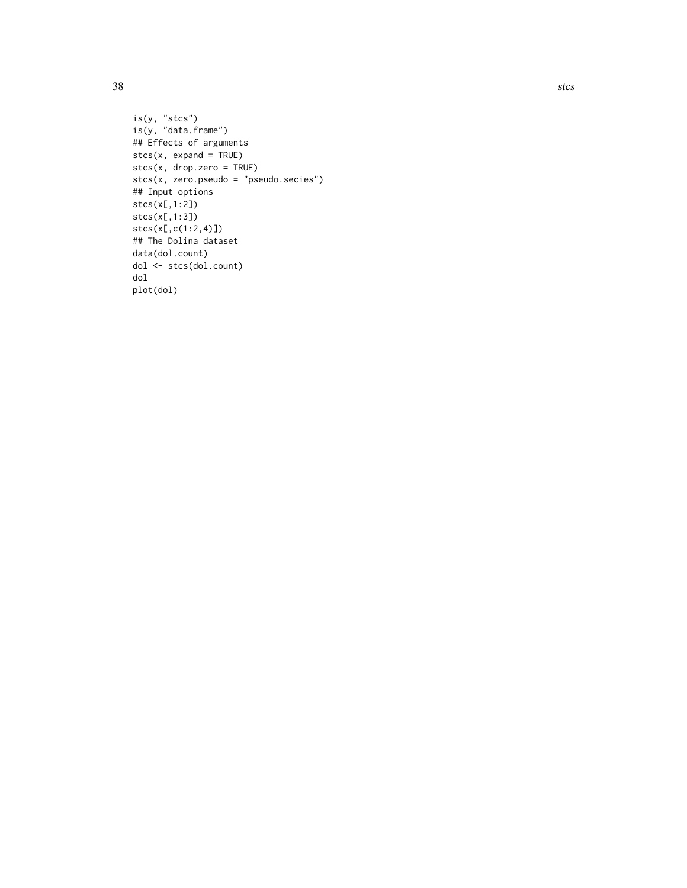is(y, "stcs") is(y, "data.frame") ## Effects of arguments  $stcs(x, expand = TRUE)$ stcs(x, drop.zero = TRUE) stcs(x, zero.pseudo = "pseudo.secies") ## Input options stcs(x[,1:2]) stcs(x[,1:3]) stcs(x[,c(1:2,4)]) ## The Dolina dataset data(dol.count) dol <- stcs(dol.count) dol plot(dol)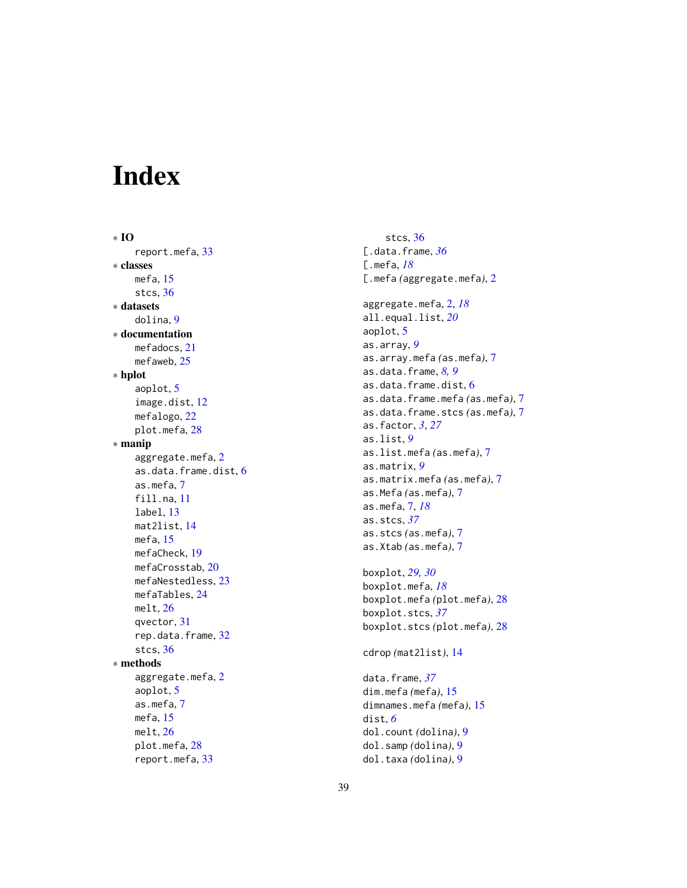# <span id="page-38-0"></span>Index

∗ IO report.mefa , [33](#page-32-0) ∗ classes mefa , [15](#page-14-0) stcs , [36](#page-35-0) ∗ datasets dolina , [9](#page-8-0) ∗ documentation mefadocs , [21](#page-20-0) mefaweb, [25](#page-24-0) ∗ hplot aoplot , [5](#page-4-0) image.dist , [12](#page-11-0) mefalogo , [22](#page-21-0) plot.mefa , [28](#page-27-0) ∗ manip aggregate.mefa , [2](#page-1-0) as.data.frame.dist , [6](#page-5-0) as.mefa , [7](#page-6-0) fill.na, [11](#page-10-0) label , [13](#page-12-0) mat2list , [14](#page-13-0) mefa , [15](#page-14-0) mefaCheck , [19](#page-18-0) mefaCrosstab , [20](#page-19-0) mefaNestedless , [23](#page-22-0) mefaTables , [24](#page-23-0) melt , [26](#page-25-0) qvector , [31](#page-30-0) rep.data.frame , [32](#page-31-0) stcs , [36](#page-35-0) ∗ methods aggregate.mefa , [2](#page-1-0) aoplot , [5](#page-4-0) as.mefa , [7](#page-6-0) mefa , [15](#page-14-0) melt , [26](#page-25-0) plot.mefa, [28](#page-27-0) report.mefa , [33](#page-32-0)

stcs , [36](#page-35-0) [.data.frame , *[36](#page-35-0)* [.mefa , *[18](#page-17-0)* [.mefa *(*aggregate.mefa *)* , [2](#page-1-0) aggregate.mefa , [2](#page-1-0) , *[18](#page-17-0)* all.equal.list , *[20](#page-19-0)* aoplot , [5](#page-4-0) as.array , *[9](#page-8-0)* as.array.mefa *(*as.mefa *)* , [7](#page-6-0) as.data.frame , *[8](#page-7-0) , [9](#page-8-0)* as.data.frame.dist , [6](#page-5-0) as.data.frame.mefa *(*as.mefa *)* , [7](#page-6-0) as.data.frame.stcs *(*as.mefa *)* , [7](#page-6-0) as.factor , *[3](#page-2-0)* , *[27](#page-26-0)* as.list , *[9](#page-8-0)* as.list.mefa *(*as.mefa *)* , [7](#page-6-0) as.matrix , *[9](#page-8-0)* as.matrix.mefa *(*as.mefa *)* , [7](#page-6-0) as.Mefa *(*as.mefa *)* , [7](#page-6-0) as.mefa , [7](#page-6-0) , *[18](#page-17-0)* as.stcs , *[37](#page-36-0)* as.stcs *(*as.mefa *)* , [7](#page-6-0) as.Xtab *(*as.mefa *)* , [7](#page-6-0) boxplot , *[29](#page-28-0) , [30](#page-29-0)* boxplot.mefa , *[18](#page-17-0)* boxplot.mefa *(*plot.mefa *)* , [28](#page-27-0) boxplot.stcs , *[37](#page-36-0)* boxplot.stcs *(*plot.mefa *)* , [28](#page-27-0) cdrop *(*mat2list *)* , [14](#page-13-0) data.frame , *[37](#page-36-0)* dim.mefa *(*mefa *)* , [15](#page-14-0)

dimnames.mefa *(*mefa *)* , [15](#page-14-0)

dol.count *(*dolina *)* , [9](#page-8-0) dol.samp *(*dolina *)* , [9](#page-8-0) dol.taxa *(*dolina *)* , [9](#page-8-0)

dist , *[6](#page-5-0)*